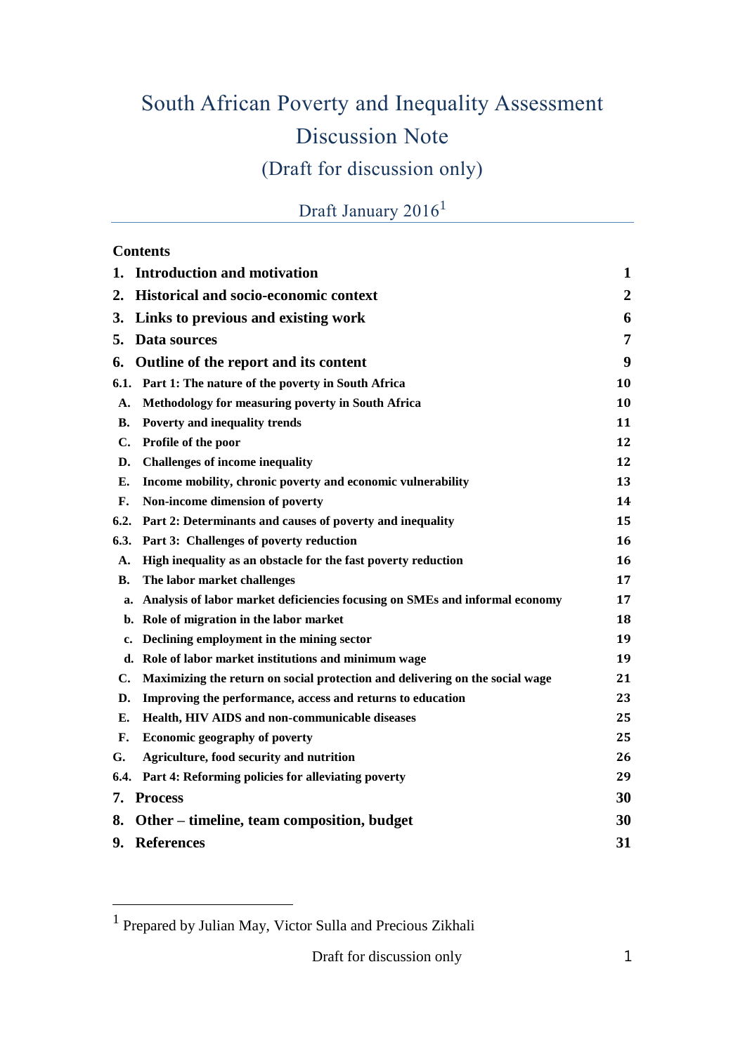# South African Poverty and Inequality Assessment Discussion Note (Draft for discussion only)

# Draft January 2016<sup>1</sup>

#### **Contents**

 $\overline{a}$ 

| 1.             | <b>Introduction and motivation</b>                                           | 1                |
|----------------|------------------------------------------------------------------------------|------------------|
| 2.             | <b>Historical and socio-economic context</b>                                 | $\boldsymbol{2}$ |
| 3.             | Links to previous and existing work                                          | 6                |
| 5.             | Data sources                                                                 | 7                |
| 6.             | Outline of the report and its content                                        | 9                |
| 6.1.           | Part 1: The nature of the poverty in South Africa                            | 10               |
| А.             | Methodology for measuring poverty in South Africa                            | 10               |
| В.             | Poverty and inequality trends                                                | 11               |
| $\mathbf{C}$ . | Profile of the poor                                                          | 12               |
| D.             | <b>Challenges of income inequality</b>                                       | 12               |
| Е.             | Income mobility, chronic poverty and economic vulnerability                  | 13               |
| F.             | Non-income dimension of poverty                                              | 14               |
| 6.2.           | Part 2: Determinants and causes of poverty and inequality                    | 15               |
| 6.3.           | Part 3: Challenges of poverty reduction                                      | 16               |
| А.             | High inequality as an obstacle for the fast poverty reduction                | 16               |
| В.             | The labor market challenges                                                  | 17               |
| a.             | Analysis of labor market deficiencies focusing on SMEs and informal economy  | 17               |
| b.             | Role of migration in the labor market                                        | 18               |
| c.             | Declining employment in the mining sector                                    | 19               |
| d.             | Role of labor market institutions and minimum wage                           | 19               |
| C.             | Maximizing the return on social protection and delivering on the social wage | 21               |
| D.             | Improving the performance, access and returns to education                   | 23               |
| Е.             | Health, HIV AIDS and non-communicable diseases                               | 25               |
| F.             | Economic geography of poverty                                                | 25               |
| G.             | Agriculture, food security and nutrition                                     | 26               |
| 6.4.           | Part 4: Reforming policies for alleviating poverty                           | 29               |
| 7.             | <b>Process</b>                                                               | 30               |
| 8.             | Other – timeline, team composition, budget                                   | 30               |
| 9.             | <b>References</b>                                                            | 31               |

<sup>&</sup>lt;sup>1</sup> Prepared by Julian May, Victor Sulla and Precious Zikhali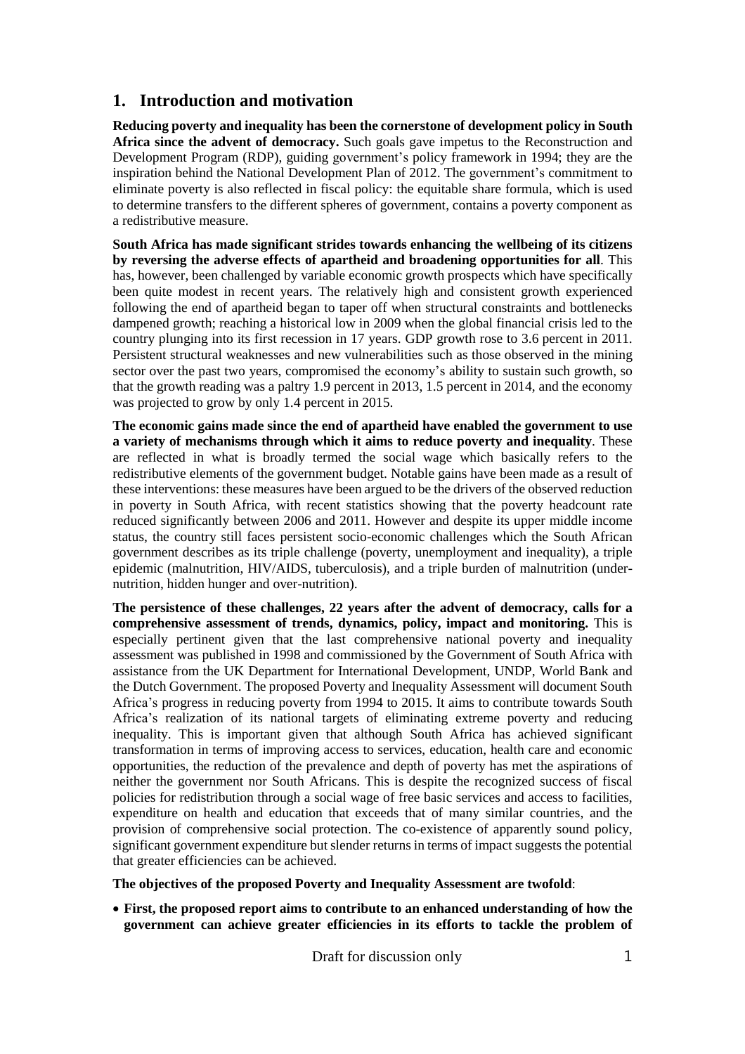# **1. Introduction and motivation**

**Reducing poverty and inequality has been the cornerstone of development policy in South Africa since the advent of democracy.** Such goals gave impetus to the Reconstruction and Development Program (RDP), guiding government's policy framework in 1994; they are the inspiration behind the National Development Plan of 2012. The government's commitment to eliminate poverty is also reflected in fiscal policy: the equitable share formula, which is used to determine transfers to the different spheres of government, contains a poverty component as a redistributive measure.

**South Africa has made significant strides towards enhancing the wellbeing of its citizens by reversing the adverse effects of apartheid and broadening opportunities for all**. This has, however, been challenged by variable economic growth prospects which have specifically been quite modest in recent years. The relatively high and consistent growth experienced following the end of apartheid began to taper off when structural constraints and bottlenecks dampened growth; reaching a historical low in 2009 when the global financial crisis led to the country plunging into its first recession in 17 years. GDP growth rose to 3.6 percent in 2011. Persistent structural weaknesses and new vulnerabilities such as those observed in the mining sector over the past two years, compromised the economy's ability to sustain such growth, so that the growth reading was a paltry 1.9 percent in 2013, 1.5 percent in 2014, and the economy was projected to grow by only 1.4 percent in 2015.

**The economic gains made since the end of apartheid have enabled the government to use a variety of mechanisms through which it aims to reduce poverty and inequality**. These are reflected in what is broadly termed the social wage which basically refers to the redistributive elements of the government budget. Notable gains have been made as a result of these interventions: these measures have been argued to be the drivers of the observed reduction in poverty in South Africa, with recent statistics showing that the poverty headcount rate reduced significantly between 2006 and 2011. However and despite its upper middle income status, the country still faces persistent socio-economic challenges which the South African government describes as its triple challenge (poverty, unemployment and inequality), a triple epidemic (malnutrition, HIV/AIDS, tuberculosis), and a triple burden of malnutrition (undernutrition, hidden hunger and over-nutrition).

**The persistence of these challenges, 22 years after the advent of democracy, calls for a comprehensive assessment of trends, dynamics, policy, impact and monitoring.** This is especially pertinent given that the last comprehensive national poverty and inequality assessment was published in 1998 and commissioned by the Government of South Africa with assistance from the UK Department for International Development, UNDP, World Bank and the Dutch Government. The proposed Poverty and Inequality Assessment will document South Africa's progress in reducing poverty from 1994 to 2015. It aims to contribute towards South Africa's realization of its national targets of eliminating extreme poverty and reducing inequality. This is important given that although South Africa has achieved significant transformation in terms of improving access to services, education, health care and economic opportunities, the reduction of the prevalence and depth of poverty has met the aspirations of neither the government nor South Africans. This is despite the recognized success of fiscal policies for redistribution through a social wage of free basic services and access to facilities, expenditure on health and education that exceeds that of many similar countries, and the provision of comprehensive social protection. The co-existence of apparently sound policy, significant government expenditure but slender returns in terms of impact suggests the potential that greater efficiencies can be achieved.

**The objectives of the proposed Poverty and Inequality Assessment are twofold**:

 **First, the proposed report aims to contribute to an enhanced understanding of how the government can achieve greater efficiencies in its efforts to tackle the problem of**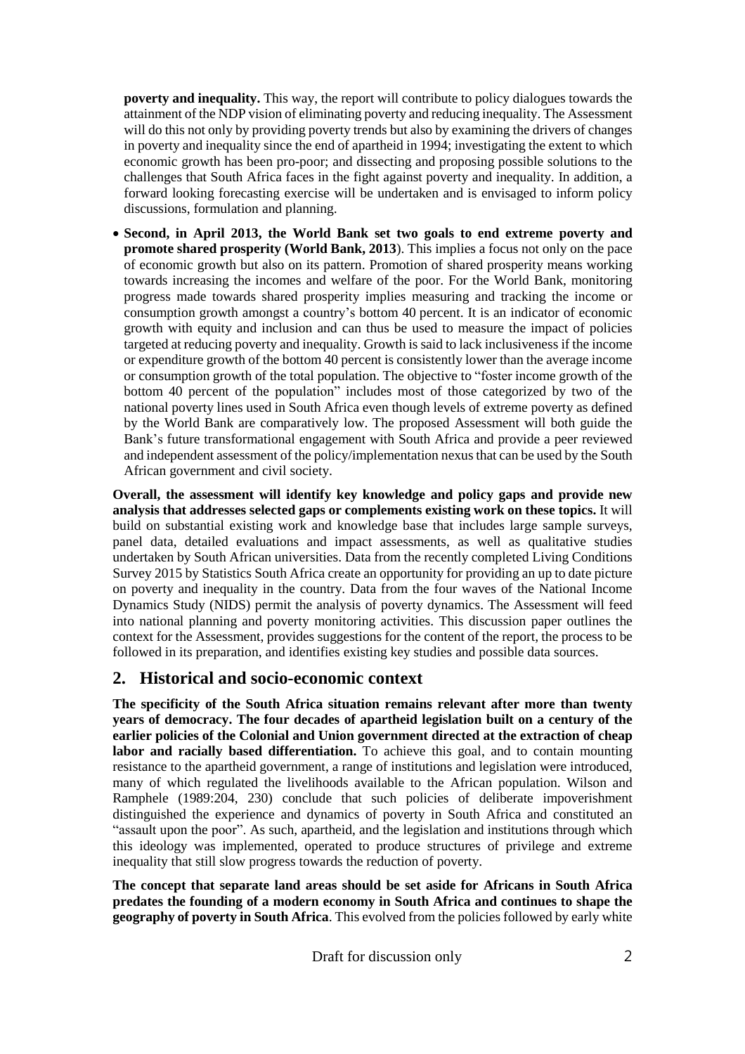**poverty and inequality.** This way, the report will contribute to policy dialogues towards the attainment of the NDP vision of eliminating poverty and reducing inequality. The Assessment will do this not only by providing poverty trends but also by examining the drivers of changes in poverty and inequality since the end of apartheid in 1994; investigating the extent to which economic growth has been pro-poor; and dissecting and proposing possible solutions to the challenges that South Africa faces in the fight against poverty and inequality. In addition, a forward looking forecasting exercise will be undertaken and is envisaged to inform policy discussions, formulation and planning.

 **Second, in April 2013, the World Bank set two goals to end extreme poverty and promote shared prosperity (World Bank, 2013**). This implies a focus not only on the pace of economic growth but also on its pattern. Promotion of shared prosperity means working towards increasing the incomes and welfare of the poor. For the World Bank, monitoring progress made towards shared prosperity implies measuring and tracking the income or consumption growth amongst a country's bottom 40 percent. It is an indicator of economic growth with equity and inclusion and can thus be used to measure the impact of policies targeted at reducing poverty and inequality. Growth is said to lack inclusiveness if the income or expenditure growth of the bottom 40 percent is consistently lower than the average income or consumption growth of the total population. The objective to "foster income growth of the bottom 40 percent of the population" includes most of those categorized by two of the national poverty lines used in South Africa even though levels of extreme poverty as defined by the World Bank are comparatively low. The proposed Assessment will both guide the Bank's future transformational engagement with South Africa and provide a peer reviewed and independent assessment of the policy/implementation nexusthat can be used by the South African government and civil society.

**Overall, the assessment will identify key knowledge and policy gaps and provide new analysis that addresses selected gaps or complements existing work on these topics.** It will build on substantial existing work and knowledge base that includes large sample surveys, panel data, detailed evaluations and impact assessments, as well as qualitative studies undertaken by South African universities. Data from the recently completed Living Conditions Survey 2015 by Statistics South Africa create an opportunity for providing an up to date picture on poverty and inequality in the country. Data from the four waves of the National Income Dynamics Study (NIDS) permit the analysis of poverty dynamics. The Assessment will feed into national planning and poverty monitoring activities. This discussion paper outlines the context for the Assessment, provides suggestions for the content of the report, the process to be followed in its preparation, and identifies existing key studies and possible data sources.

# **2. Historical and socio-economic context**

**The specificity of the South Africa situation remains relevant after more than twenty years of democracy. The four decades of apartheid legislation built on a century of the earlier policies of the Colonial and Union government directed at the extraction of cheap labor and racially based differentiation.** To achieve this goal, and to contain mounting resistance to the apartheid government, a range of institutions and legislation were introduced, many of which regulated the livelihoods available to the African population. Wilson and Ramphele (1989:204, 230) conclude that such policies of deliberate impoverishment distinguished the experience and dynamics of poverty in South Africa and constituted an "assault upon the poor". As such, apartheid, and the legislation and institutions through which this ideology was implemented, operated to produce structures of privilege and extreme inequality that still slow progress towards the reduction of poverty.

**The concept that separate land areas should be set aside for Africans in South Africa predates the founding of a modern economy in South Africa and continues to shape the geography of poverty in South Africa**. This evolved from the policies followed by early white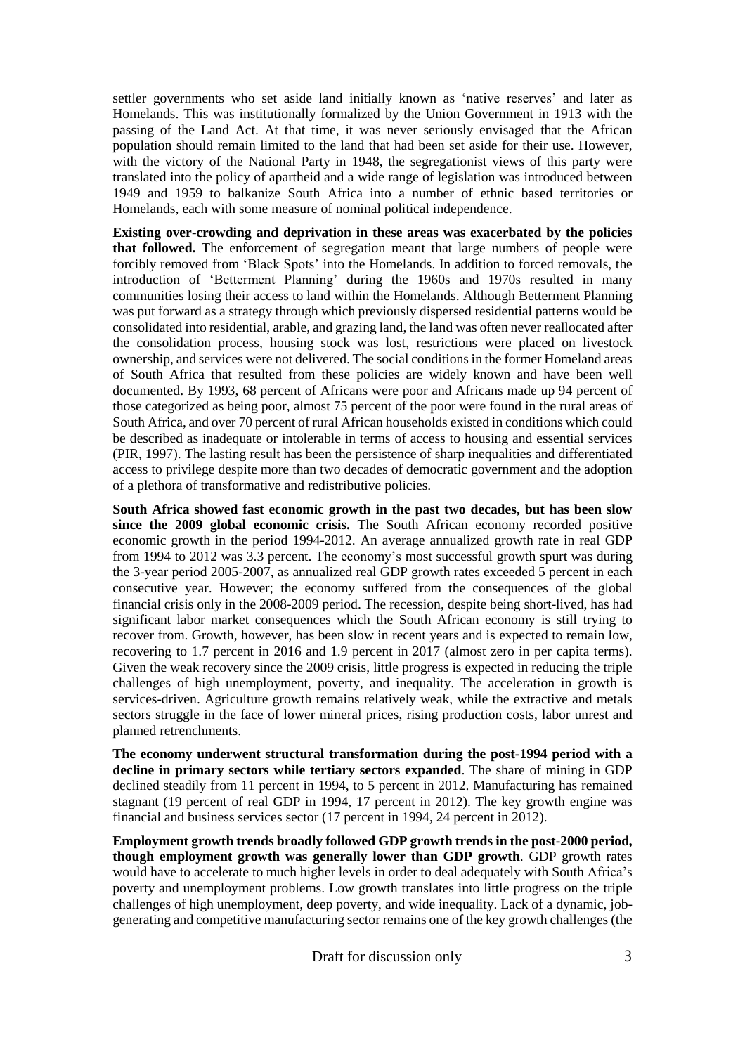settler governments who set aside land initially known as 'native reserves' and later as Homelands. This was institutionally formalized by the Union Government in 1913 with the passing of the Land Act. At that time, it was never seriously envisaged that the African population should remain limited to the land that had been set aside for their use. However, with the victory of the National Party in 1948, the segregationist views of this party were translated into the policy of apartheid and a wide range of legislation was introduced between 1949 and 1959 to balkanize South Africa into a number of ethnic based territories or Homelands, each with some measure of nominal political independence.

**Existing over-crowding and deprivation in these areas was exacerbated by the policies that followed.** The enforcement of segregation meant that large numbers of people were forcibly removed from 'Black Spots' into the Homelands. In addition to forced removals, the introduction of 'Betterment Planning' during the 1960s and 1970s resulted in many communities losing their access to land within the Homelands. Although Betterment Planning was put forward as a strategy through which previously dispersed residential patterns would be consolidated into residential, arable, and grazing land, the land was often never reallocated after the consolidation process, housing stock was lost, restrictions were placed on livestock ownership, and services were not delivered. The social conditionsin the former Homeland areas of South Africa that resulted from these policies are widely known and have been well documented. By 1993, 68 percent of Africans were poor and Africans made up 94 percent of those categorized as being poor, almost 75 percent of the poor were found in the rural areas of South Africa, and over 70 percent of rural African households existed in conditions which could be described as inadequate or intolerable in terms of access to housing and essential services (PIR, 1997). The lasting result has been the persistence of sharp inequalities and differentiated access to privilege despite more than two decades of democratic government and the adoption of a plethora of transformative and redistributive policies.

**South Africa showed fast economic growth in the past two decades, but has been slow since the 2009 global economic crisis.** The South African economy recorded positive economic growth in the period 1994-2012. An average annualized growth rate in real GDP from 1994 to 2012 was 3.3 percent. The economy's most successful growth spurt was during the 3-year period 2005-2007, as annualized real GDP growth rates exceeded 5 percent in each consecutive year. However; the economy suffered from the consequences of the global financial crisis only in the 2008-2009 period. The recession, despite being short-lived, has had significant labor market consequences which the South African economy is still trying to recover from. Growth, however, has been slow in recent years and is expected to remain low, recovering to 1.7 percent in 2016 and 1.9 percent in 2017 (almost zero in per capita terms). Given the weak recovery since the 2009 crisis, little progress is expected in reducing the triple challenges of high unemployment, poverty, and inequality. The acceleration in growth is services-driven. Agriculture growth remains relatively weak, while the extractive and metals sectors struggle in the face of lower mineral prices, rising production costs, labor unrest and planned retrenchments.

**The economy underwent structural transformation during the post-1994 period with a decline in primary sectors while tertiary sectors expanded**. The share of mining in GDP declined steadily from 11 percent in 1994, to 5 percent in 2012. Manufacturing has remained stagnant (19 percent of real GDP in 1994, 17 percent in 2012). The key growth engine was financial and business services sector (17 percent in 1994, 24 percent in 2012).

**Employment growth trends broadly followed GDP growth trends in the post-2000 period, though employment growth was generally lower than GDP growth**. GDP growth rates would have to accelerate to much higher levels in order to deal adequately with South Africa's poverty and unemployment problems. Low growth translates into little progress on the triple challenges of high unemployment, deep poverty, and wide inequality. Lack of a dynamic, jobgenerating and competitive manufacturing sector remains one of the key growth challenges (the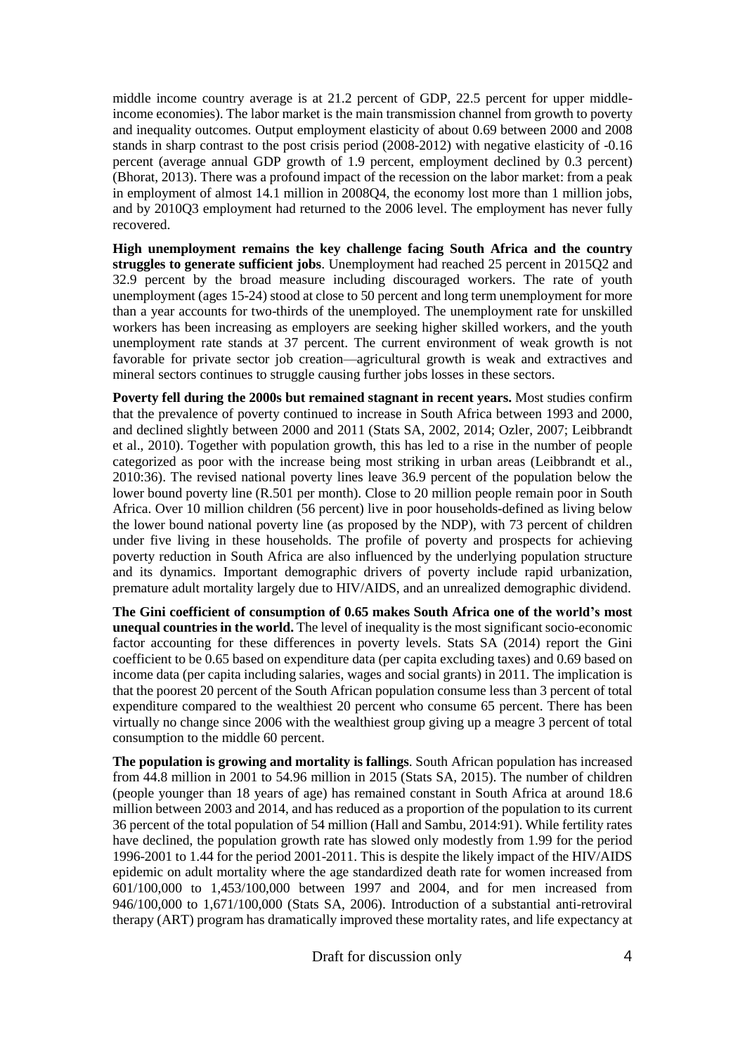middle income country average is at 21.2 percent of GDP, 22.5 percent for upper middleincome economies). The labor market is the main transmission channel from growth to poverty and inequality outcomes. Output employment elasticity of about 0.69 between 2000 and 2008 stands in sharp contrast to the post crisis period (2008-2012) with negative elasticity of -0.16 percent (average annual GDP growth of 1.9 percent, employment declined by 0.3 percent) (Bhorat, 2013). There was a profound impact of the recession on the labor market: from a peak in employment of almost 14.1 million in 2008Q4, the economy lost more than 1 million jobs, and by 2010Q3 employment had returned to the 2006 level. The employment has never fully recovered.

**High unemployment remains the key challenge facing South Africa and the country struggles to generate sufficient jobs**. Unemployment had reached 25 percent in 2015Q2 and 32.9 percent by the broad measure including discouraged workers. The rate of youth unemployment (ages 15-24) stood at close to 50 percent and long term unemployment for more than a year accounts for two-thirds of the unemployed. The unemployment rate for unskilled workers has been increasing as employers are seeking higher skilled workers, and the youth unemployment rate stands at 37 percent. The current environment of weak growth is not favorable for private sector job creation—agricultural growth is weak and extractives and mineral sectors continues to struggle causing further jobs losses in these sectors.

**Poverty fell during the 2000s but remained stagnant in recent years.** Most studies confirm that the prevalence of poverty continued to increase in South Africa between 1993 and 2000, and declined slightly between 2000 and 2011 (Stats SA, 2002, 2014; Ozler, 2007; Leibbrandt et al., 2010). Together with population growth, this has led to a rise in the number of people categorized as poor with the increase being most striking in urban areas (Leibbrandt et al., 2010:36). The revised national poverty lines leave 36.9 percent of the population below the lower bound poverty line (R.501 per month). Close to 20 million people remain poor in South Africa. Over 10 million children (56 percent) live in poor households-defined as living below the lower bound national poverty line (as proposed by the NDP), with 73 percent of children under five living in these households. The profile of poverty and prospects for achieving poverty reduction in South Africa are also influenced by the underlying population structure and its dynamics. Important demographic drivers of poverty include rapid urbanization, premature adult mortality largely due to HIV/AIDS, and an unrealized demographic dividend.

**The Gini coefficient of consumption of 0.65 makes South Africa one of the world's most unequal countries in the world.** The level of inequality is the most significant socio-economic factor accounting for these differences in poverty levels. Stats SA (2014) report the Gini coefficient to be 0.65 based on expenditure data (per capita excluding taxes) and 0.69 based on income data (per capita including salaries, wages and social grants) in 2011. The implication is that the poorest 20 percent of the South African population consume less than 3 percent of total expenditure compared to the wealthiest 20 percent who consume 65 percent. There has been virtually no change since 2006 with the wealthiest group giving up a meagre 3 percent of total consumption to the middle 60 percent.

**The population is growing and mortality is fallings**. South African population has increased from 44.8 million in 2001 to 54.96 million in 2015 (Stats SA, 2015). The number of children (people younger than 18 years of age) has remained constant in South Africa at around 18.6 million between 2003 and 2014, and has reduced as a proportion of the population to its current 36 percent of the total population of 54 million (Hall and Sambu, 2014:91). While fertility rates have declined, the population growth rate has slowed only modestly from 1.99 for the period 1996-2001 to 1.44 for the period 2001-2011. This is despite the likely impact of the HIV/AIDS epidemic on adult mortality where the age standardized death rate for women increased from 601/100,000 to 1,453/100,000 between 1997 and 2004, and for men increased from 946/100,000 to 1,671/100,000 (Stats SA, 2006). Introduction of a substantial anti-retroviral therapy (ART) program has dramatically improved these mortality rates, and life expectancy at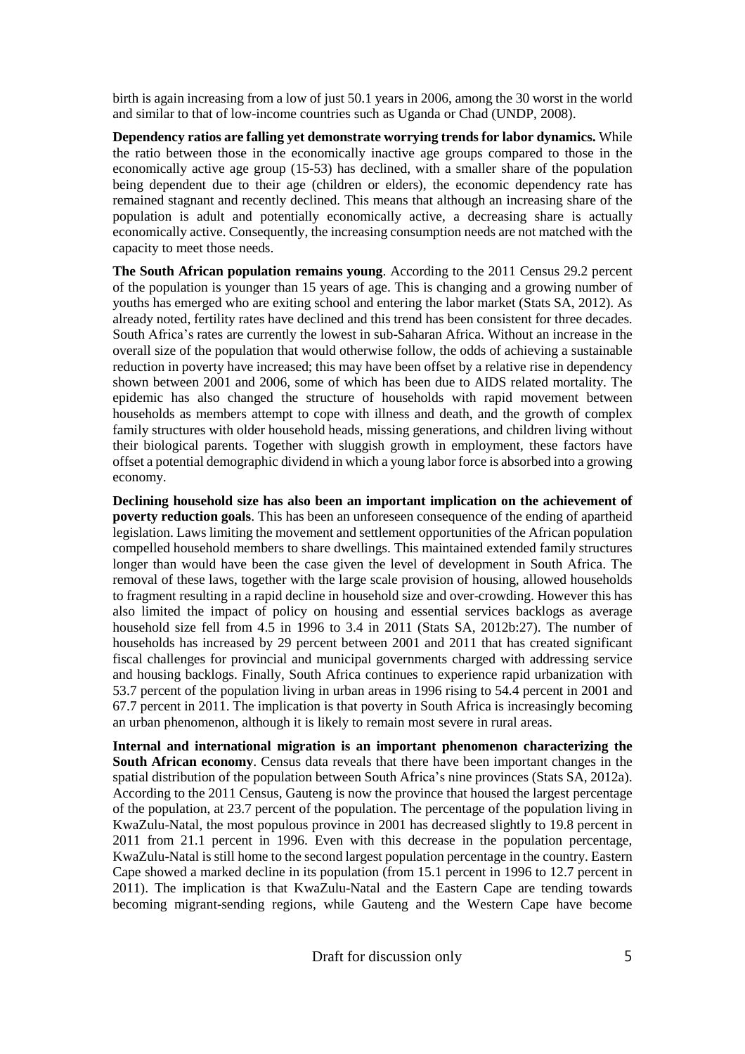birth is again increasing from a low of just 50.1 years in 2006, among the 30 worst in the world and similar to that of low-income countries such as Uganda or Chad (UNDP, 2008).

**Dependency ratios are falling yet demonstrate worrying trends for labor dynamics.** While the ratio between those in the economically inactive age groups compared to those in the economically active age group (15-53) has declined, with a smaller share of the population being dependent due to their age (children or elders), the economic dependency rate has remained stagnant and recently declined. This means that although an increasing share of the population is adult and potentially economically active, a decreasing share is actually economically active. Consequently, the increasing consumption needs are not matched with the capacity to meet those needs.

**The South African population remains young**. According to the 2011 Census 29.2 percent of the population is younger than 15 years of age. This is changing and a growing number of youths has emerged who are exiting school and entering the labor market (Stats SA, 2012). As already noted, fertility rates have declined and this trend has been consistent for three decades. South Africa's rates are currently the lowest in sub-Saharan Africa. Without an increase in the overall size of the population that would otherwise follow, the odds of achieving a sustainable reduction in poverty have increased; this may have been offset by a relative rise in dependency shown between 2001 and 2006, some of which has been due to AIDS related mortality. The epidemic has also changed the structure of households with rapid movement between households as members attempt to cope with illness and death, and the growth of complex family structures with older household heads, missing generations, and children living without their biological parents. Together with sluggish growth in employment, these factors have offset a potential demographic dividend in which a young labor force is absorbed into a growing economy.

**Declining household size has also been an important implication on the achievement of poverty reduction goals**. This has been an unforeseen consequence of the ending of apartheid legislation. Laws limiting the movement and settlement opportunities of the African population compelled household members to share dwellings. This maintained extended family structures longer than would have been the case given the level of development in South Africa. The removal of these laws, together with the large scale provision of housing, allowed households to fragment resulting in a rapid decline in household size and over-crowding. However this has also limited the impact of policy on housing and essential services backlogs as average household size fell from 4.5 in 1996 to 3.4 in 2011 (Stats SA, 2012b:27). The number of households has increased by 29 percent between 2001 and 2011 that has created significant fiscal challenges for provincial and municipal governments charged with addressing service and housing backlogs. Finally, South Africa continues to experience rapid urbanization with 53.7 percent of the population living in urban areas in 1996 rising to 54.4 percent in 2001 and 67.7 percent in 2011. The implication is that poverty in South Africa is increasingly becoming an urban phenomenon, although it is likely to remain most severe in rural areas.

**Internal and international migration is an important phenomenon characterizing the South African economy**. Census data reveals that there have been important changes in the spatial distribution of the population between South Africa's nine provinces (Stats SA, 2012a). According to the 2011 Census, Gauteng is now the province that housed the largest percentage of the population, at 23.7 percent of the population. The percentage of the population living in KwaZulu-Natal, the most populous province in 2001 has decreased slightly to 19.8 percent in 2011 from 21.1 percent in 1996. Even with this decrease in the population percentage, KwaZulu-Natal is still home to the second largest population percentage in the country. Eastern Cape showed a marked decline in its population (from 15.1 percent in 1996 to 12.7 percent in 2011). The implication is that KwaZulu-Natal and the Eastern Cape are tending towards becoming migrant-sending regions, while Gauteng and the Western Cape have become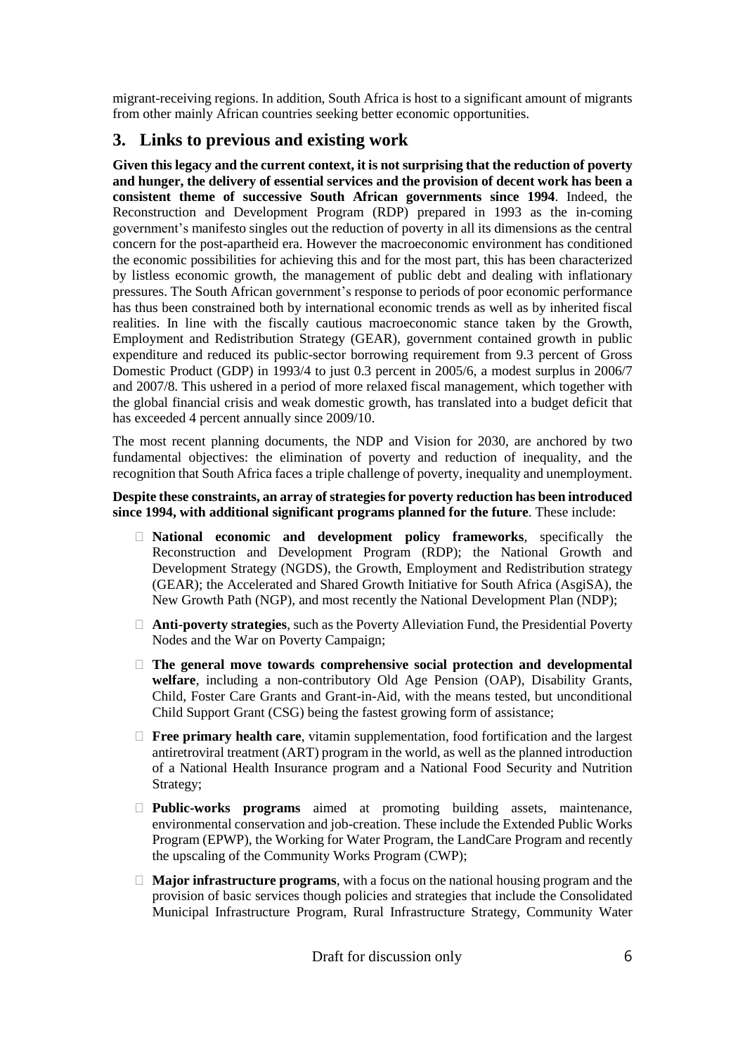migrant-receiving regions. In addition, South Africa is host to a significant amount of migrants from other mainly African countries seeking better economic opportunities.

# **3. Links to previous and existing work**

**Given this legacy and the current context, it is not surprising that the reduction of poverty and hunger, the delivery of essential services and the provision of decent work has been a consistent theme of successive South African governments since 1994**. Indeed, the Reconstruction and Development Program (RDP) prepared in 1993 as the in-coming government's manifesto singles out the reduction of poverty in all its dimensions as the central concern for the post-apartheid era. However the macroeconomic environment has conditioned the economic possibilities for achieving this and for the most part, this has been characterized by listless economic growth, the management of public debt and dealing with inflationary pressures. The South African government's response to periods of poor economic performance has thus been constrained both by international economic trends as well as by inherited fiscal realities. In line with the fiscally cautious macroeconomic stance taken by the Growth, Employment and Redistribution Strategy (GEAR), government contained growth in public expenditure and reduced its public-sector borrowing requirement from 9.3 percent of Gross Domestic Product (GDP) in 1993/4 to just 0.3 percent in 2005/6, a modest surplus in 2006/7 and 2007/8. This ushered in a period of more relaxed fiscal management, which together with the global financial crisis and weak domestic growth, has translated into a budget deficit that has exceeded 4 percent annually since 2009/10.

The most recent planning documents, the NDP and Vision for 2030, are anchored by two fundamental objectives: the elimination of poverty and reduction of inequality, and the recognition that South Africa faces a triple challenge of poverty, inequality and unemployment.

#### **Despite these constraints, an array of strategiesfor poverty reduction has been introduced since 1994, with additional significant programs planned for the future**. These include:

- **National economic and development policy frameworks**, specifically the Reconstruction and Development Program (RDP); the National Growth and Development Strategy (NGDS), the Growth, Employment and Redistribution strategy (GEAR); the Accelerated and Shared Growth Initiative for South Africa (AsgiSA), the New Growth Path (NGP), and most recently the National Development Plan (NDP);
- **Anti-poverty strategies**, such as the Poverty Alleviation Fund, the Presidential Poverty Nodes and the War on Poverty Campaign;
- **The general move towards comprehensive social protection and developmental welfare**, including a non-contributory Old Age Pension (OAP), Disability Grants, Child, Foster Care Grants and Grant-in-Aid, with the means tested, but unconditional Child Support Grant (CSG) being the fastest growing form of assistance;
- **Free primary health care**, vitamin supplementation, food fortification and the largest antiretroviral treatment (ART) program in the world, as well as the planned introduction of a National Health Insurance program and a National Food Security and Nutrition Strategy;
- **Public-works programs** aimed at promoting building assets, maintenance, environmental conservation and job-creation. These include the Extended Public Works Program (EPWP), the Working for Water Program, the LandCare Program and recently the upscaling of the Community Works Program (CWP);
- **Major infrastructure programs**, with a focus on the national housing program and the provision of basic services though policies and strategies that include the Consolidated Municipal Infrastructure Program, Rural Infrastructure Strategy, Community Water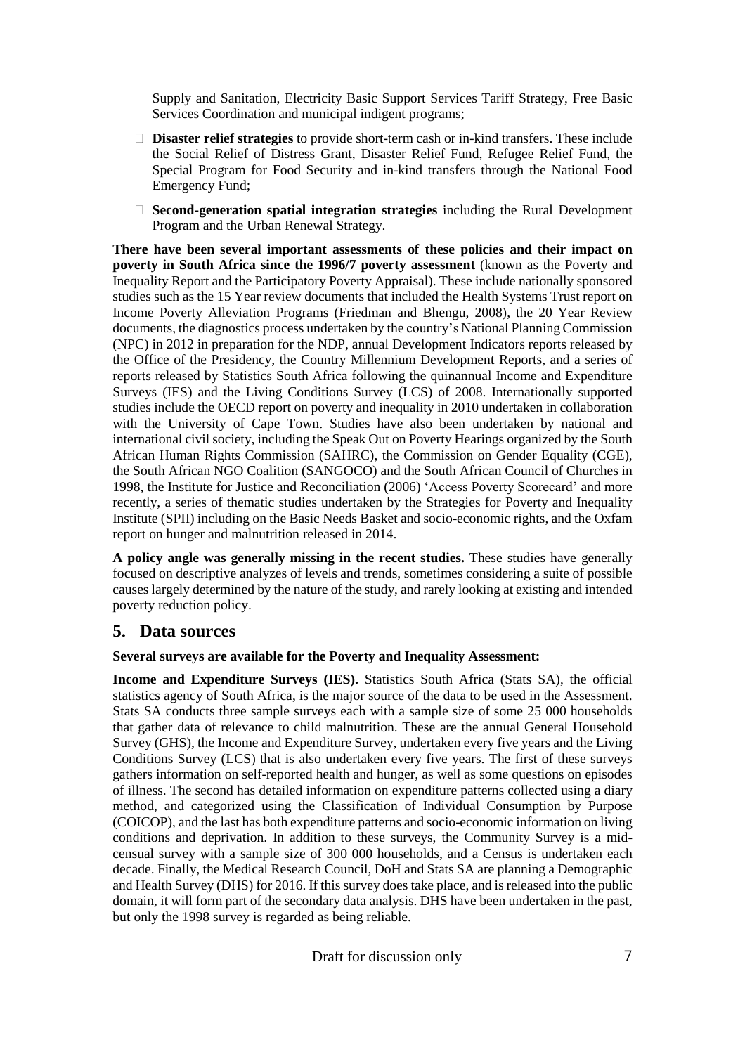Supply and Sanitation, Electricity Basic Support Services Tariff Strategy, Free Basic Services Coordination and municipal indigent programs;

- **Disaster relief strategies** to provide short-term cash or in-kind transfers. These include the Social Relief of Distress Grant, Disaster Relief Fund, Refugee Relief Fund, the Special Program for Food Security and in-kind transfers through the National Food Emergency Fund;
- **Second-generation spatial integration strategies** including the Rural Development Program and the Urban Renewal Strategy.

**There have been several important assessments of these policies and their impact on poverty in South Africa since the 1996/7 poverty assessment** (known as the Poverty and Inequality Report and the Participatory Poverty Appraisal). These include nationally sponsored studies such as the 15 Year review documents that included the Health Systems Trust report on Income Poverty Alleviation Programs (Friedman and Bhengu, 2008), the 20 Year Review documents, the diagnostics process undertaken by the country's National Planning Commission (NPC) in 2012 in preparation for the NDP, annual Development Indicators reports released by the Office of the Presidency, the Country Millennium Development Reports, and a series of reports released by Statistics South Africa following the quinannual Income and Expenditure Surveys (IES) and the Living Conditions Survey (LCS) of 2008. Internationally supported studies include the OECD report on poverty and inequality in 2010 undertaken in collaboration with the University of Cape Town. Studies have also been undertaken by national and international civil society, including the Speak Out on Poverty Hearings organized by the South African Human Rights Commission (SAHRC), the Commission on Gender Equality (CGE), the South African NGO Coalition (SANGOCO) and the South African Council of Churches in 1998, the Institute for Justice and Reconciliation (2006) 'Access Poverty Scorecard' and more recently, a series of thematic studies undertaken by the Strategies for Poverty and Inequality Institute (SPII) including on the Basic Needs Basket and socio-economic rights, and the Oxfam report on hunger and malnutrition released in 2014.

**A policy angle was generally missing in the recent studies.** These studies have generally focused on descriptive analyzes of levels and trends, sometimes considering a suite of possible causes largely determined by the nature of the study, and rarely looking at existing and intended poverty reduction policy.

## **5. Data sources**

**Several surveys are available for the Poverty and Inequality Assessment:**

**Income and Expenditure Surveys (IES).** Statistics South Africa (Stats SA), the official statistics agency of South Africa, is the major source of the data to be used in the Assessment. Stats SA conducts three sample surveys each with a sample size of some 25 000 households that gather data of relevance to child malnutrition. These are the annual General Household Survey (GHS), the Income and Expenditure Survey, undertaken every five years and the Living Conditions Survey (LCS) that is also undertaken every five years. The first of these surveys gathers information on self-reported health and hunger, as well as some questions on episodes of illness. The second has detailed information on expenditure patterns collected using a diary method, and categorized using the Classification of Individual Consumption by Purpose (COICOP), and the last has both expenditure patterns and socio-economic information on living conditions and deprivation. In addition to these surveys, the Community Survey is a midcensual survey with a sample size of 300 000 households, and a Census is undertaken each decade. Finally, the Medical Research Council, DoH and Stats SA are planning a Demographic and Health Survey (DHS) for 2016. If this survey does take place, and isreleased into the public domain, it will form part of the secondary data analysis. DHS have been undertaken in the past, but only the 1998 survey is regarded as being reliable.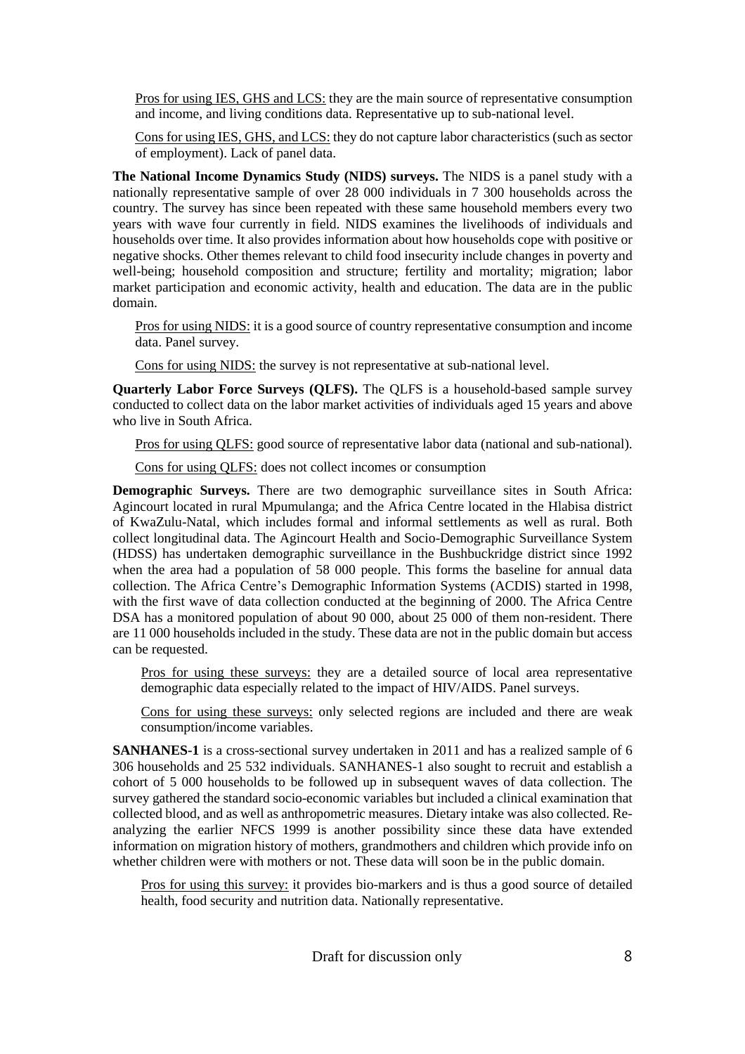Pros for using IES, GHS and LCS: they are the main source of representative consumption and income, and living conditions data. Representative up to sub-national level.

Cons for using IES, GHS, and LCS: they do not capture labor characteristics (such as sector of employment). Lack of panel data.

**The National Income Dynamics Study (NIDS) surveys.** The NIDS is a panel study with a nationally representative sample of over 28 000 individuals in 7 300 households across the country. The survey has since been repeated with these same household members every two years with wave four currently in field. NIDS examines the livelihoods of individuals and households over time. It also provides information about how households cope with positive or negative shocks. Other themes relevant to child food insecurity include changes in poverty and well-being; household composition and structure; fertility and mortality; migration; labor market participation and economic activity, health and education. The data are in the public domain.

Pros for using NIDS: it is a good source of country representative consumption and income data. Panel survey.

Cons for using NIDS: the survey is not representative at sub-national level.

**Quarterly Labor Force Surveys (QLFS).** The QLFS is a household-based sample survey conducted to collect data on the labor market activities of individuals aged 15 years and above who live in South Africa.

Pros for using QLFS: good source of representative labor data (national and sub-national).

Cons for using QLFS: does not collect incomes or consumption

**Demographic Surveys.** There are two demographic surveillance sites in South Africa: Agincourt located in rural Mpumulanga; and the Africa Centre located in the Hlabisa district of KwaZulu-Natal, which includes formal and informal settlements as well as rural. Both collect longitudinal data. The Agincourt Health and Socio-Demographic Surveillance System (HDSS) has undertaken demographic surveillance in the Bushbuckridge district since 1992 when the area had a population of 58 000 people. This forms the baseline for annual data collection. The Africa Centre's Demographic Information Systems (ACDIS) started in 1998, with the first wave of data collection conducted at the beginning of 2000. The Africa Centre DSA has a monitored population of about 90 000, about 25 000 of them non-resident. There are 11 000 households included in the study. These data are not in the public domain but access can be requested.

Pros for using these surveys: they are a detailed source of local area representative demographic data especially related to the impact of HIV/AIDS. Panel surveys.

Cons for using these surveys: only selected regions are included and there are weak consumption/income variables.

**SANHANES-1** is a cross-sectional survey undertaken in 2011 and has a realized sample of 6 306 households and 25 532 individuals. SANHANES-1 also sought to recruit and establish a cohort of 5 000 households to be followed up in subsequent waves of data collection. The survey gathered the standard socio-economic variables but included a clinical examination that collected blood, and as well as anthropometric measures. Dietary intake was also collected. Reanalyzing the earlier NFCS 1999 is another possibility since these data have extended information on migration history of mothers, grandmothers and children which provide info on whether children were with mothers or not. These data will soon be in the public domain.

Pros for using this survey: it provides bio-markers and is thus a good source of detailed health, food security and nutrition data. Nationally representative.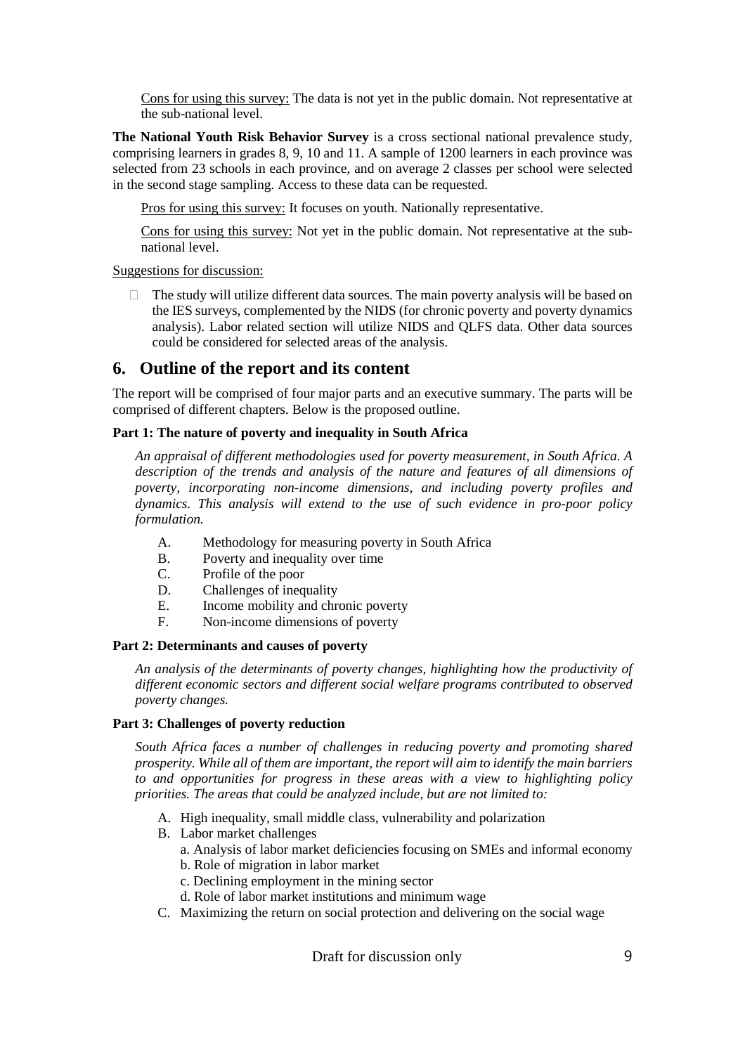Cons for using this survey: The data is not yet in the public domain. Not representative at the sub-national level.

**The National Youth Risk Behavior Survey** is a cross sectional national prevalence study, comprising learners in grades 8, 9, 10 and 11. A sample of 1200 learners in each province was selected from 23 schools in each province, and on average 2 classes per school were selected in the second stage sampling. Access to these data can be requested.

Pros for using this survey: It focuses on youth. Nationally representative.

Cons for using this survey: Not yet in the public domain. Not representative at the subnational level.

#### Suggestions for discussion:

 $\Box$  The study will utilize different data sources. The main poverty analysis will be based on the IES surveys, complemented by the NIDS (for chronic poverty and poverty dynamics analysis). Labor related section will utilize NIDS and QLFS data. Other data sources could be considered for selected areas of the analysis.

#### **6. Outline of the report and its content**

The report will be comprised of four major parts and an executive summary. The parts will be comprised of different chapters. Below is the proposed outline.

#### **Part 1: The nature of poverty and inequality in South Africa**

*An appraisal of different methodologies used for poverty measurement, in South Africa. A description of the trends and analysis of the nature and features of all dimensions of poverty, incorporating non-income dimensions, and including poverty profiles and dynamics. This analysis will extend to the use of such evidence in pro-poor policy formulation.*

- A. Methodology for measuring poverty in South Africa
- B. Poverty and inequality over time
- C. Profile of the poor
- D. Challenges of inequality
- E. Income mobility and chronic poverty
- F. Non-income dimensions of poverty

#### **Part 2: Determinants and causes of poverty**

*An analysis of the determinants of poverty changes, highlighting how the productivity of different economic sectors and different social welfare programs contributed to observed poverty changes.*

#### **Part 3: Challenges of poverty reduction**

*South Africa faces a number of challenges in reducing poverty and promoting shared prosperity. While all of them are important, the report will aim to identify the main barriers to and opportunities for progress in these areas with a view to highlighting policy priorities. The areas that could be analyzed include, but are not limited to:*

- A. High inequality, small middle class, vulnerability and polarization
- B. Labor market challenges
	- a. Analysis of labor market deficiencies focusing on SMEs and informal economy
	- b. Role of migration in labor market
	- c. Declining employment in the mining sector
	- d. Role of labor market institutions and minimum wage
- C. Maximizing the return on social protection and delivering on the social wage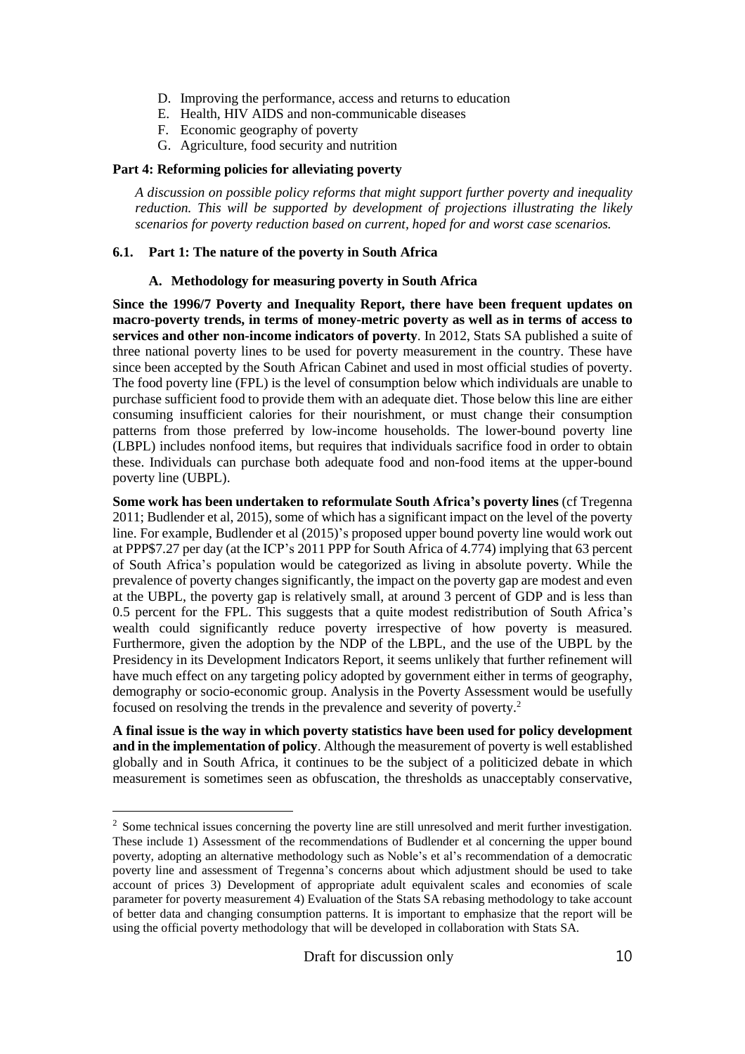- D. Improving the performance, access and returns to education
- E. Health, HIV AIDS and non-communicable diseases
- F. Economic geography of poverty
- G. Agriculture, food security and nutrition

#### **Part 4: Reforming policies for alleviating poverty**

*A discussion on possible policy reforms that might support further poverty and inequality reduction. This will be supported by development of projections illustrating the likely scenarios for poverty reduction based on current, hoped for and worst case scenarios.*

#### **6.1. Part 1: The nature of the poverty in South Africa**

#### **A. Methodology for measuring poverty in South Africa**

**Since the 1996/7 Poverty and Inequality Report, there have been frequent updates on macro-poverty trends, in terms of money-metric poverty as well as in terms of access to services and other non-income indicators of poverty**. In 2012, Stats SA published a suite of three national poverty lines to be used for poverty measurement in the country. These have since been accepted by the South African Cabinet and used in most official studies of poverty. The food poverty line (FPL) is the level of consumption below which individuals are unable to purchase sufficient food to provide them with an adequate diet. Those below this line are either consuming insufficient calories for their nourishment, or must change their consumption patterns from those preferred by low-income households. The lower-bound poverty line (LBPL) includes nonfood items, but requires that individuals sacrifice food in order to obtain these. Individuals can purchase both adequate food and non-food items at the upper-bound poverty line (UBPL).

**Some work has been undertaken to reformulate South Africa's poverty lines** (cf Tregenna 2011; Budlender et al, 2015), some of which has a significant impact on the level of the poverty line. For example, Budlender et al (2015)'s proposed upper bound poverty line would work out at PPP\$7.27 per day (at the ICP's 2011 PPP for South Africa of 4.774) implying that 63 percent of South Africa's population would be categorized as living in absolute poverty. While the prevalence of poverty changes significantly, the impact on the poverty gap are modest and even at the UBPL, the poverty gap is relatively small, at around 3 percent of GDP and is less than 0.5 percent for the FPL. This suggests that a quite modest redistribution of South Africa's wealth could significantly reduce poverty irrespective of how poverty is measured. Furthermore, given the adoption by the NDP of the LBPL, and the use of the UBPL by the Presidency in its Development Indicators Report, it seems unlikely that further refinement will have much effect on any targeting policy adopted by government either in terms of geography, demography or socio-economic group. Analysis in the Poverty Assessment would be usefully focused on resolving the trends in the prevalence and severity of poverty.<sup>2</sup>

**A final issue is the way in which poverty statistics have been used for policy development and in the implementation of policy**. Although the measurement of poverty is well established globally and in South Africa, it continues to be the subject of a politicized debate in which measurement is sometimes seen as obfuscation, the thresholds as unacceptably conservative,

 $\overline{a}$ 

<sup>&</sup>lt;sup>2</sup> Some technical issues concerning the poverty line are still unresolved and merit further investigation. These include 1) Assessment of the recommendations of Budlender et al concerning the upper bound poverty, adopting an alternative methodology such as Noble's et al's recommendation of a democratic poverty line and assessment of Tregenna's concerns about which adjustment should be used to take account of prices 3) Development of appropriate adult equivalent scales and economies of scale parameter for poverty measurement 4) Evaluation of the Stats SA rebasing methodology to take account of better data and changing consumption patterns. It is important to emphasize that the report will be using the official poverty methodology that will be developed in collaboration with Stats SA.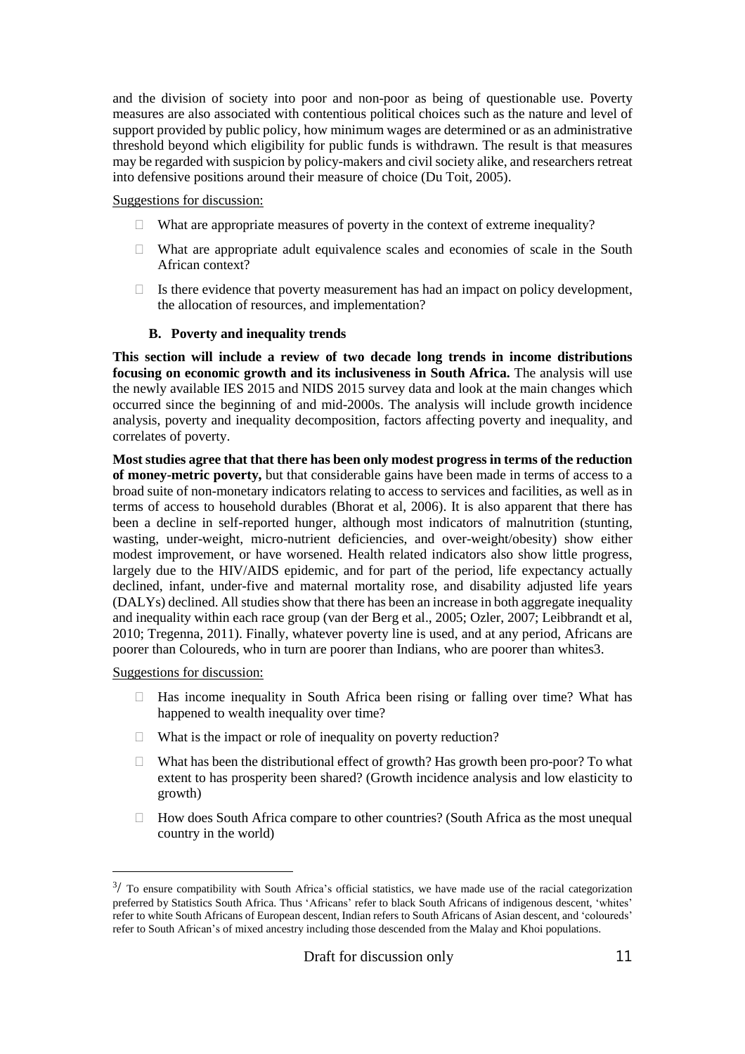and the division of society into poor and non-poor as being of questionable use. Poverty measures are also associated with contentious political choices such as the nature and level of support provided by public policy, how minimum wages are determined or as an administrative threshold beyond which eligibility for public funds is withdrawn. The result is that measures may be regarded with suspicion by policy-makers and civil society alike, and researchers retreat into defensive positions around their measure of choice (Du Toit, 2005).

Suggestions for discussion:

- $\Box$  What are appropriate measures of poverty in the context of extreme inequality?
- $\Box$  What are appropriate adult equivalence scales and economies of scale in the South African context?
- $\Box$  Is there evidence that poverty measurement has had an impact on policy development, the allocation of resources, and implementation?

#### **B. Poverty and inequality trends**

**This section will include a review of two decade long trends in income distributions focusing on economic growth and its inclusiveness in South Africa.** The analysis will use the newly available IES 2015 and NIDS 2015 survey data and look at the main changes which occurred since the beginning of and mid-2000s. The analysis will include growth incidence analysis, poverty and inequality decomposition, factors affecting poverty and inequality, and correlates of poverty.

**Most studies agree that that there has been only modest progress in terms of the reduction of money-metric poverty,** but that considerable gains have been made in terms of access to a broad suite of non-monetary indicators relating to access to services and facilities, as well as in terms of access to household durables (Bhorat et al, 2006). It is also apparent that there has been a decline in self-reported hunger, although most indicators of malnutrition (stunting, wasting, under-weight, micro-nutrient deficiencies, and over-weight/obesity) show either modest improvement, or have worsened. Health related indicators also show little progress, largely due to the HIV/AIDS epidemic, and for part of the period, life expectancy actually declined, infant, under-five and maternal mortality rose, and disability adjusted life years (DALYs) declined. All studies show that there has been an increase in both aggregate inequality and inequality within each race group (van der Berg et al., 2005; Ozler, 2007; Leibbrandt et al, 2010; Tregenna, 2011). Finally, whatever poverty line is used, and at any period, Africans are poorer than Coloureds, who in turn are poorer than Indians, who are poorer than whites3.

Suggestions for discussion:

 $\overline{a}$ 

- $\Box$  Has income inequality in South Africa been rising or falling over time? What has happened to wealth inequality over time?
- $\Box$  What is the impact or role of inequality on poverty reduction?
- $\Box$  What has been the distributional effect of growth? Has growth been pro-poor? To what extent to has prosperity been shared? (Growth incidence analysis and low elasticity to growth)
- $\Box$  How does South Africa compare to other countries? (South Africa as the most unequal country in the world)

 $3/$  To ensure compatibility with South Africa's official statistics, we have made use of the racial categorization preferred by Statistics South Africa. Thus 'Africans' refer to black South Africans of indigenous descent, 'whites' refer to white South Africans of European descent, Indian refers to South Africans of Asian descent, and 'coloureds' refer to South African's of mixed ancestry including those descended from the Malay and Khoi populations.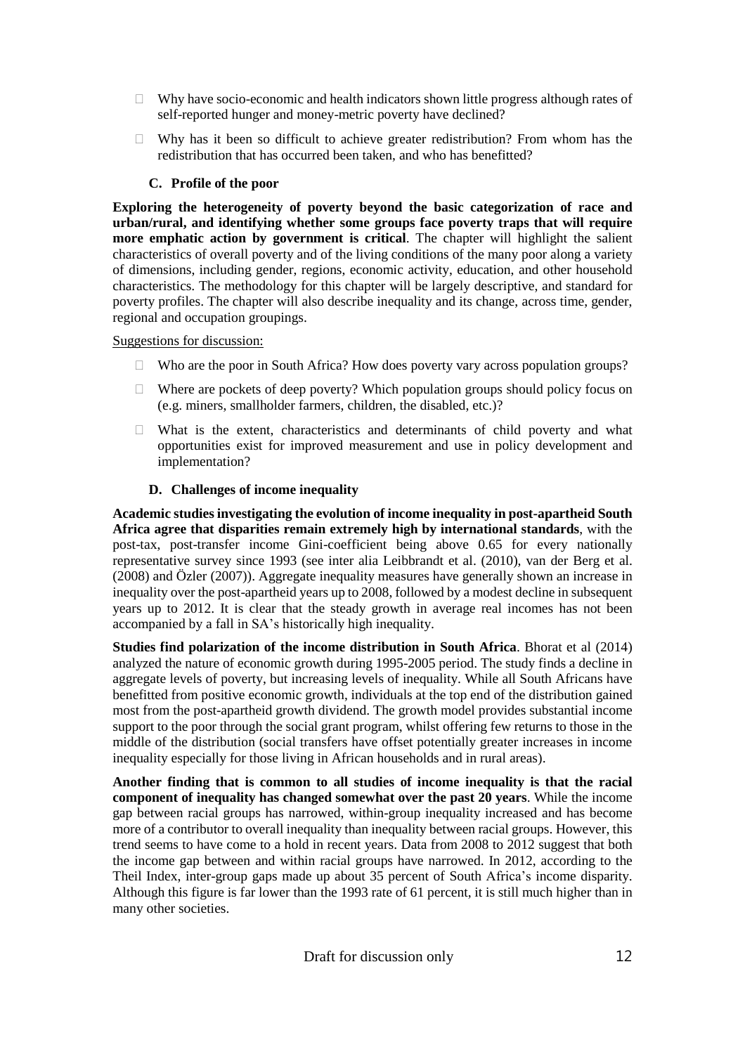- $\Box$  Why have socio-economic and health indicators shown little progress although rates of self-reported hunger and money-metric poverty have declined?
- $\Box$  Why has it been so difficult to achieve greater redistribution? From whom has the redistribution that has occurred been taken, and who has benefitted?

#### **C. Profile of the poor**

**Exploring the heterogeneity of poverty beyond the basic categorization of race and urban/rural, and identifying whether some groups face poverty traps that will require more emphatic action by government is critical**. The chapter will highlight the salient characteristics of overall poverty and of the living conditions of the many poor along a variety of dimensions, including gender, regions, economic activity, education, and other household characteristics. The methodology for this chapter will be largely descriptive, and standard for poverty profiles. The chapter will also describe inequality and its change, across time, gender, regional and occupation groupings.

#### Suggestions for discussion:

- Who are the poor in South Africa? How does poverty vary across population groups?
- $\Box$  Where are pockets of deep poverty? Which population groups should policy focus on (e.g. miners, smallholder farmers, children, the disabled, etc.)?
- $\Box$  What is the extent, characteristics and determinants of child poverty and what opportunities exist for improved measurement and use in policy development and implementation?

#### **D. Challenges of income inequality**

**Academic studies investigating the evolution of income inequality in post-apartheid South Africa agree that disparities remain extremely high by international standards**, with the post-tax, post-transfer income Gini-coefficient being above 0.65 for every nationally representative survey since 1993 (see inter alia Leibbrandt et al. (2010), van der Berg et al. (2008) and Özler (2007)). Aggregate inequality measures have generally shown an increase in inequality over the post-apartheid years up to 2008, followed by a modest decline in subsequent years up to 2012. It is clear that the steady growth in average real incomes has not been accompanied by a fall in SA's historically high inequality.

**Studies find polarization of the income distribution in South Africa**. Bhorat et al (2014) analyzed the nature of economic growth during 1995-2005 period. The study finds a decline in aggregate levels of poverty, but increasing levels of inequality. While all South Africans have benefitted from positive economic growth, individuals at the top end of the distribution gained most from the post-apartheid growth dividend. The growth model provides substantial income support to the poor through the social grant program, whilst offering few returns to those in the middle of the distribution (social transfers have offset potentially greater increases in income inequality especially for those living in African households and in rural areas).

**Another finding that is common to all studies of income inequality is that the racial component of inequality has changed somewhat over the past 20 years**. While the income gap between racial groups has narrowed, within-group inequality increased and has become more of a contributor to overall inequality than inequality between racial groups. However, this trend seems to have come to a hold in recent years. Data from 2008 to 2012 suggest that both the income gap between and within racial groups have narrowed. In 2012, according to the Theil Index, inter-group gaps made up about 35 percent of South Africa's income disparity. Although this figure is far lower than the 1993 rate of 61 percent, it is still much higher than in many other societies.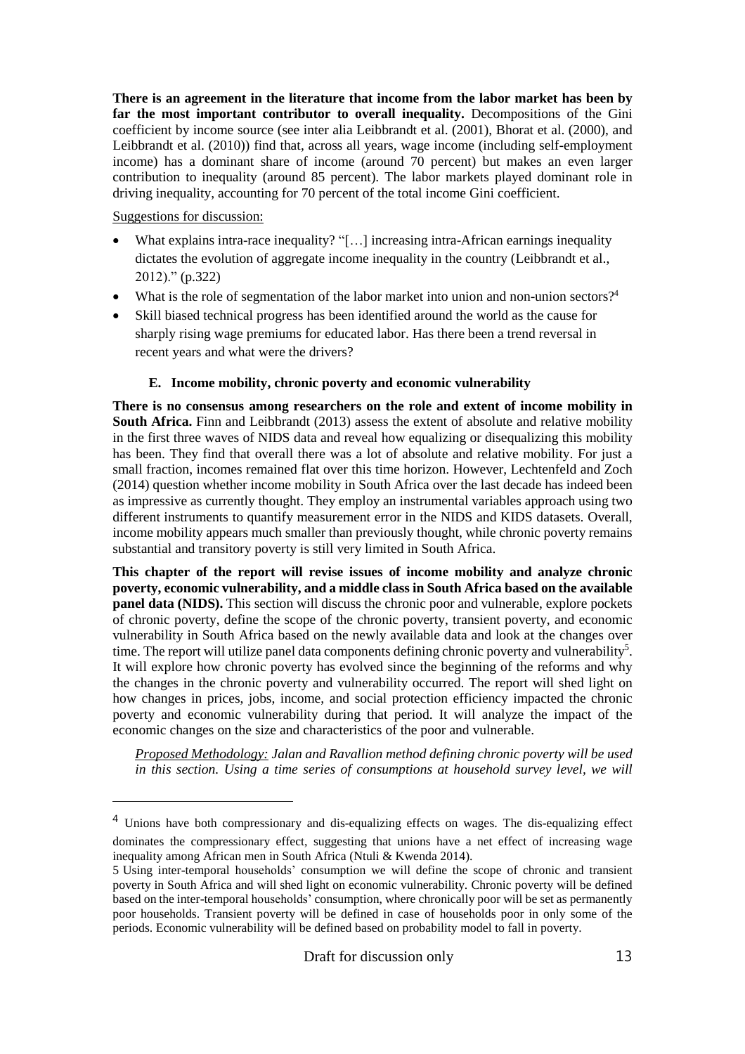**There is an agreement in the literature that income from the labor market has been by far the most important contributor to overall inequality.** Decompositions of the Gini coefficient by income source (see inter alia Leibbrandt et al. (2001), Bhorat et al. (2000), and Leibbrandt et al. (2010)) find that, across all years, wage income (including self-employment income) has a dominant share of income (around 70 percent) but makes an even larger contribution to inequality (around 85 percent). The labor markets played dominant role in driving inequality, accounting for 70 percent of the total income Gini coefficient.

#### Suggestions for discussion:

 $\overline{a}$ 

- What explains intra-race inequality? "[…] increasing intra-African earnings inequality dictates the evolution of aggregate income inequality in the country (Leibbrandt et al., 2012)." (p.322)
- What is the role of segmentation of the labor market into union and non-union sectors?<sup>4</sup>
- Skill biased technical progress has been identified around the world as the cause for sharply rising wage premiums for educated labor. Has there been a trend reversal in recent years and what were the drivers?

#### **E. Income mobility, chronic poverty and economic vulnerability**

**There is no consensus among researchers on the role and extent of income mobility in South Africa.** Finn and Leibbrandt (2013) assess the extent of absolute and relative mobility in the first three waves of NIDS data and reveal how equalizing or disequalizing this mobility has been. They find that overall there was a lot of absolute and relative mobility. For just a small fraction, incomes remained flat over this time horizon. However, Lechtenfeld and Zoch (2014) question whether income mobility in South Africa over the last decade has indeed been as impressive as currently thought. They employ an instrumental variables approach using two different instruments to quantify measurement error in the NIDS and KIDS datasets. Overall, income mobility appears much smaller than previously thought, while chronic poverty remains substantial and transitory poverty is still very limited in South Africa.

**This chapter of the report will revise issues of income mobility and analyze chronic poverty, economic vulnerability, and a middle class in South Africa based on the available panel data (NIDS).** This section will discuss the chronic poor and vulnerable, explore pockets of chronic poverty, define the scope of the chronic poverty, transient poverty, and economic vulnerability in South Africa based on the newly available data and look at the changes over time. The report will utilize panel data components defining chronic poverty and vulnerability<sup>5</sup>. It will explore how chronic poverty has evolved since the beginning of the reforms and why the changes in the chronic poverty and vulnerability occurred. The report will shed light on how changes in prices, jobs, income, and social protection efficiency impacted the chronic poverty and economic vulnerability during that period. It will analyze the impact of the economic changes on the size and characteristics of the poor and vulnerable.

*Proposed Methodology: Jalan and Ravallion method defining chronic poverty will be used in this section. Using a time series of consumptions at household survey level, we will*

<sup>&</sup>lt;sup>4</sup> Unions have both compressionary and dis-equalizing effects on wages. The dis-equalizing effect dominates the compressionary effect, suggesting that unions have a net effect of increasing wage inequality among African men in South Africa (Ntuli & Kwenda 2014).

<sup>5</sup> Using inter-temporal households' consumption we will define the scope of chronic and transient poverty in South Africa and will shed light on economic vulnerability. Chronic poverty will be defined based on the inter-temporal households' consumption, where chronically poor will be set as permanently poor households. Transient poverty will be defined in case of households poor in only some of the periods. Economic vulnerability will be defined based on probability model to fall in poverty.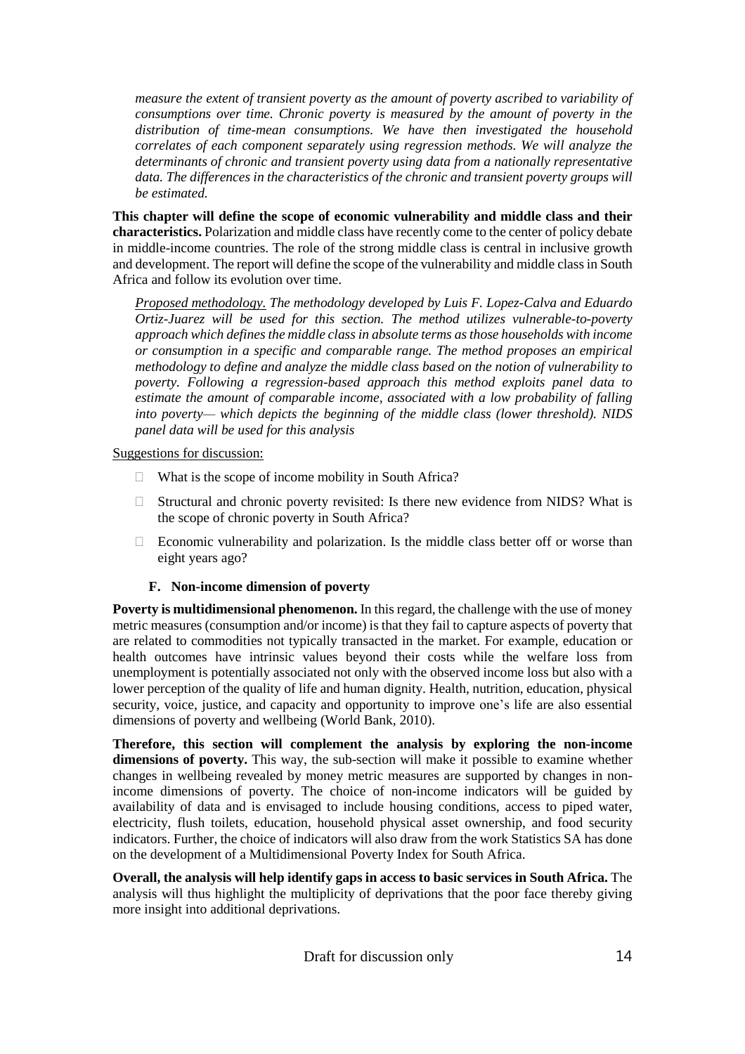*measure the extent of transient poverty as the amount of poverty ascribed to variability of consumptions over time. Chronic poverty is measured by the amount of poverty in the distribution of time-mean consumptions. We have then investigated the household correlates of each component separately using regression methods. We will analyze the determinants of chronic and transient poverty using data from a nationally representative data. The differences in the characteristics of the chronic and transient poverty groups will be estimated.*

**This chapter will define the scope of economic vulnerability and middle class and their characteristics.** Polarization and middle class have recently come to the center of policy debate in middle-income countries. The role of the strong middle class is central in inclusive growth and development. The report will define the scope of the vulnerability and middle classin South Africa and follow its evolution over time.

*Proposed methodology. The methodology developed by Luis F. Lopez-Calva and Eduardo Ortiz-Juarez will be used for this section. The method utilizes vulnerable-to-poverty approach which definesthe middle class in absolute terms as those households with income or consumption in a specific and comparable range. The method proposes an empirical methodology to define and analyze the middle class based on the notion of vulnerability to poverty. Following a regression-based approach this method exploits panel data to estimate the amount of comparable income, associated with a low probability of falling into poverty— which depicts the beginning of the middle class (lower threshold). NIDS panel data will be used for this analysis*

Suggestions for discussion:

- $\Box$  What is the scope of income mobility in South Africa?
- $\Box$  Structural and chronic poverty revisited: Is there new evidence from NIDS? What is the scope of chronic poverty in South Africa?
- $\Box$  Economic vulnerability and polarization. Is the middle class better off or worse than eight years ago?

#### **F. Non-income dimension of poverty**

**Poverty is multidimensional phenomenon.** In this regard, the challenge with the use of money metric measures (consumption and/or income) is that they fail to capture aspects of poverty that are related to commodities not typically transacted in the market. For example, education or health outcomes have intrinsic values beyond their costs while the welfare loss from unemployment is potentially associated not only with the observed income loss but also with a lower perception of the quality of life and human dignity. Health, nutrition, education, physical security, voice, justice, and capacity and opportunity to improve one's life are also essential dimensions of poverty and wellbeing (World Bank, 2010).

**Therefore, this section will complement the analysis by exploring the non-income dimensions of poverty.** This way, the sub-section will make it possible to examine whether changes in wellbeing revealed by money metric measures are supported by changes in nonincome dimensions of poverty. The choice of non-income indicators will be guided by availability of data and is envisaged to include housing conditions, access to piped water, electricity, flush toilets, education, household physical asset ownership, and food security indicators. Further, the choice of indicators will also draw from the work Statistics SA has done on the development of a Multidimensional Poverty Index for South Africa.

**Overall, the analysis will help identify gaps in access to basic services in South Africa.** The analysis will thus highlight the multiplicity of deprivations that the poor face thereby giving more insight into additional deprivations.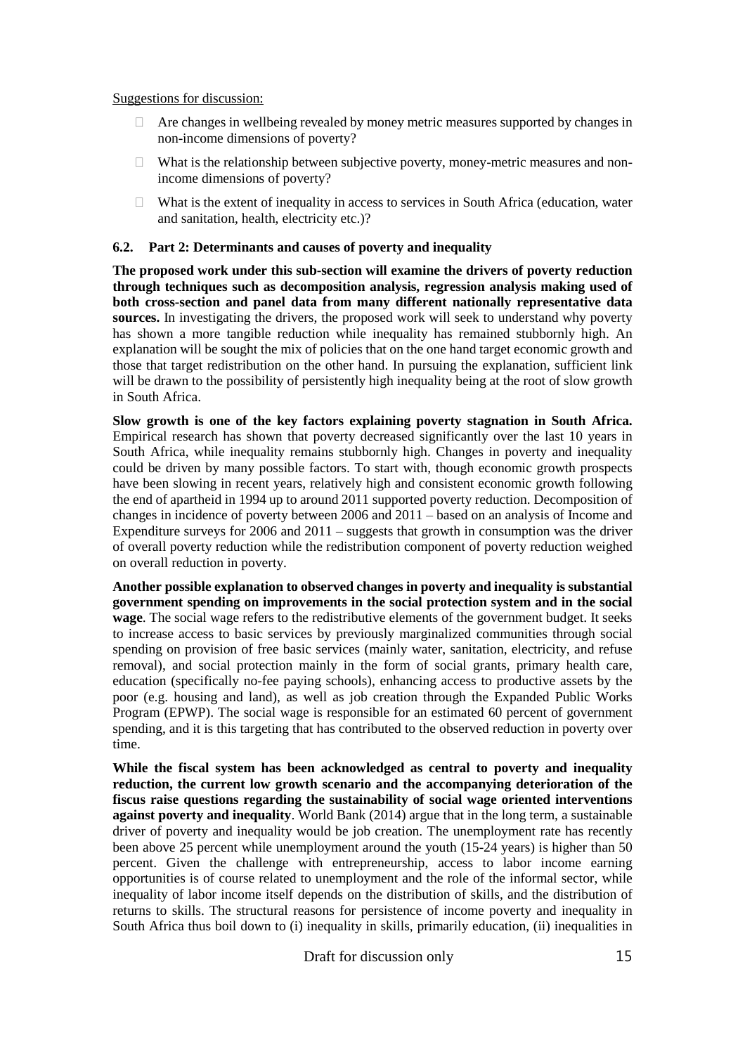#### Suggestions for discussion:

- $\Box$  Are changes in wellbeing revealed by money metric measures supported by changes in non-income dimensions of poverty?
- $\Box$  What is the relationship between subjective poverty, money-metric measures and nonincome dimensions of poverty?
- $\Box$  What is the extent of inequality in access to services in South Africa (education, water and sanitation, health, electricity etc.)?

#### **6.2. Part 2: Determinants and causes of poverty and inequality**

**The proposed work under this sub-section will examine the drivers of poverty reduction through techniques such as decomposition analysis, regression analysis making used of both cross-section and panel data from many different nationally representative data sources.** In investigating the drivers, the proposed work will seek to understand why poverty has shown a more tangible reduction while inequality has remained stubbornly high. An explanation will be sought the mix of policies that on the one hand target economic growth and those that target redistribution on the other hand. In pursuing the explanation, sufficient link will be drawn to the possibility of persistently high inequality being at the root of slow growth in South Africa.

**Slow growth is one of the key factors explaining poverty stagnation in South Africa.** Empirical research has shown that poverty decreased significantly over the last 10 years in South Africa, while inequality remains stubbornly high. Changes in poverty and inequality could be driven by many possible factors. To start with, though economic growth prospects have been slowing in recent years, relatively high and consistent economic growth following the end of apartheid in 1994 up to around 2011 supported poverty reduction. Decomposition of changes in incidence of poverty between 2006 and 2011 – based on an analysis of Income and Expenditure surveys for  $2006$  and  $2011 -$  suggests that growth in consumption was the driver of overall poverty reduction while the redistribution component of poverty reduction weighed on overall reduction in poverty.

**Another possible explanation to observed changes in poverty and inequality is substantial government spending on improvements in the social protection system and in the social wage**. The social wage refers to the redistributive elements of the government budget. It seeks to increase access to basic services by previously marginalized communities through social spending on provision of free basic services (mainly water, sanitation, electricity, and refuse removal), and social protection mainly in the form of social grants, primary health care, education (specifically no-fee paying schools), enhancing access to productive assets by the poor (e.g. housing and land), as well as job creation through the Expanded Public Works Program (EPWP). The social wage is responsible for an estimated 60 percent of government spending, and it is this targeting that has contributed to the observed reduction in poverty over time.

**While the fiscal system has been acknowledged as central to poverty and inequality reduction, the current low growth scenario and the accompanying deterioration of the fiscus raise questions regarding the sustainability of social wage oriented interventions against poverty and inequality**. World Bank (2014) argue that in the long term, a sustainable driver of poverty and inequality would be job creation. The unemployment rate has recently been above 25 percent while unemployment around the youth (15-24 years) is higher than 50 percent. Given the challenge with entrepreneurship, access to labor income earning opportunities is of course related to unemployment and the role of the informal sector, while inequality of labor income itself depends on the distribution of skills, and the distribution of returns to skills. The structural reasons for persistence of income poverty and inequality in South Africa thus boil down to (i) inequality in skills, primarily education, (ii) inequalities in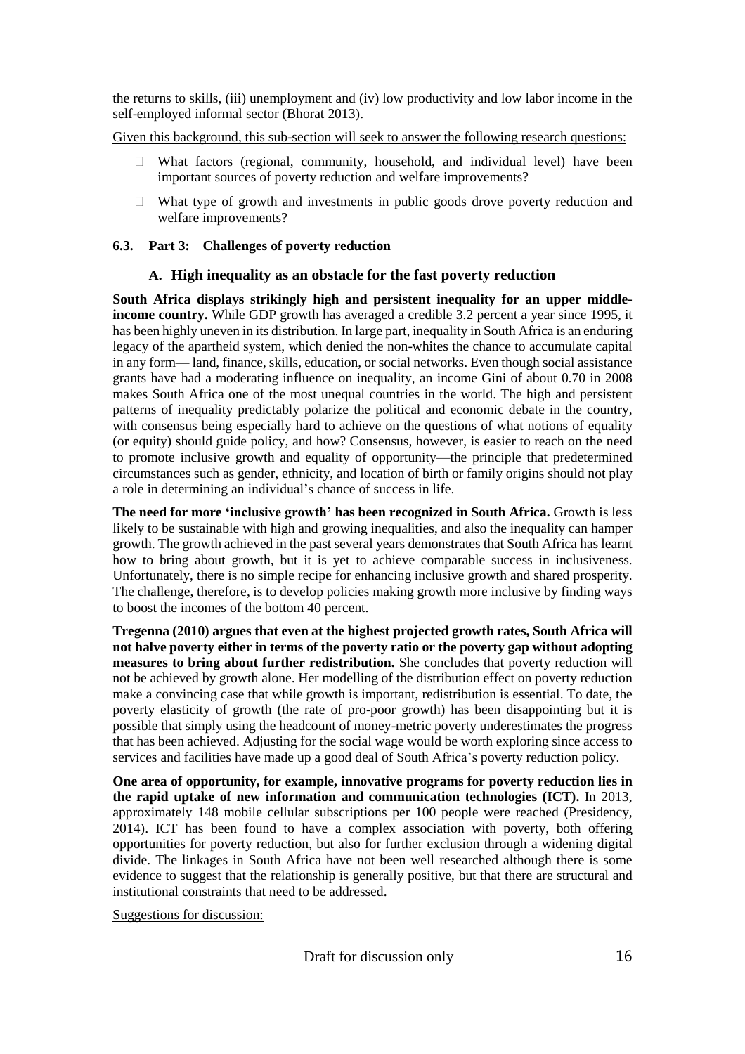the returns to skills, (iii) unemployment and (iv) low productivity and low labor income in the self-employed informal sector (Bhorat 2013).

Given this background, this sub-section will seek to answer the following research questions:

- $\Box$  What factors (regional, community, household, and individual level) have been important sources of poverty reduction and welfare improvements?
- $\Box$  What type of growth and investments in public goods drove poverty reduction and welfare improvements?

#### **6.3. Part 3: Challenges of poverty reduction**

#### **A. High inequality as an obstacle for the fast poverty reduction**

**South Africa displays strikingly high and persistent inequality for an upper middleincome country.** While GDP growth has averaged a credible 3.2 percent a year since 1995, it has been highly uneven in its distribution. In large part, inequality in South Africa is an enduring legacy of the apartheid system, which denied the non-whites the chance to accumulate capital in any form— land, finance, skills, education, or social networks. Even though social assistance grants have had a moderating influence on inequality, an income Gini of about 0.70 in 2008 makes South Africa one of the most unequal countries in the world. The high and persistent patterns of inequality predictably polarize the political and economic debate in the country, with consensus being especially hard to achieve on the questions of what notions of equality (or equity) should guide policy, and how? Consensus, however, is easier to reach on the need to promote inclusive growth and equality of opportunity—the principle that predetermined circumstances such as gender, ethnicity, and location of birth or family origins should not play a role in determining an individual's chance of success in life.

**The need for more 'inclusive growth' has been recognized in South Africa.** Growth is less likely to be sustainable with high and growing inequalities, and also the inequality can hamper growth. The growth achieved in the past several years demonstrates that South Africa has learnt how to bring about growth, but it is yet to achieve comparable success in inclusiveness. Unfortunately, there is no simple recipe for enhancing inclusive growth and shared prosperity. The challenge, therefore, is to develop policies making growth more inclusive by finding ways to boost the incomes of the bottom 40 percent.

**Tregenna (2010) argues that even at the highest projected growth rates, South Africa will not halve poverty either in terms of the poverty ratio or the poverty gap without adopting measures to bring about further redistribution.** She concludes that poverty reduction will not be achieved by growth alone. Her modelling of the distribution effect on poverty reduction make a convincing case that while growth is important, redistribution is essential. To date, the poverty elasticity of growth (the rate of pro-poor growth) has been disappointing but it is possible that simply using the headcount of money-metric poverty underestimates the progress that has been achieved. Adjusting for the social wage would be worth exploring since access to services and facilities have made up a good deal of South Africa's poverty reduction policy.

**One area of opportunity, for example, innovative programs for poverty reduction lies in the rapid uptake of new information and communication technologies (ICT).** In 2013, approximately 148 mobile cellular subscriptions per 100 people were reached (Presidency, 2014). ICT has been found to have a complex association with poverty, both offering opportunities for poverty reduction, but also for further exclusion through a widening digital divide. The linkages in South Africa have not been well researched although there is some evidence to suggest that the relationship is generally positive, but that there are structural and institutional constraints that need to be addressed.

Suggestions for discussion: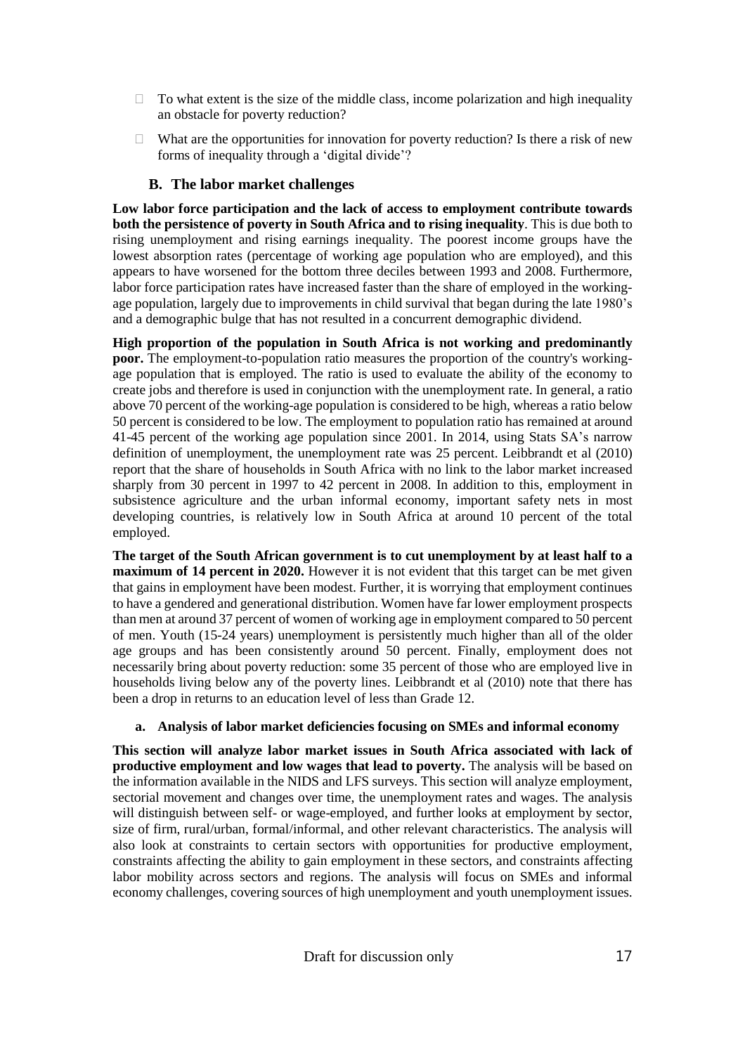- $\Box$  To what extent is the size of the middle class, income polarization and high inequality an obstacle for poverty reduction?
- $\Box$  What are the opportunities for innovation for poverty reduction? Is there a risk of new forms of inequality through a 'digital divide'?

#### **B. The labor market challenges**

**Low labor force participation and the lack of access to employment contribute towards both the persistence of poverty in South Africa and to rising inequality**. This is due both to rising unemployment and rising earnings inequality. The poorest income groups have the lowest absorption rates (percentage of working age population who are employed), and this appears to have worsened for the bottom three deciles between 1993 and 2008. Furthermore, labor force participation rates have increased faster than the share of employed in the workingage population, largely due to improvements in child survival that began during the late 1980's and a demographic bulge that has not resulted in a concurrent demographic dividend.

**High proportion of the population in South Africa is not working and predominantly poor.** The employment-to-population ratio measures the proportion of the country's workingage population that is employed. The ratio is used to evaluate the ability of the economy to create jobs and therefore is used in conjunction with the unemployment rate. In general, a ratio above 70 percent of the working-age population is considered to be high, whereas a ratio below 50 percent is considered to be low. The employment to population ratio has remained at around 41-45 percent of the working age population since 2001. In 2014, using Stats SA's narrow definition of unemployment, the unemployment rate was 25 percent. Leibbrandt et al (2010) report that the share of households in South Africa with no link to the labor market increased sharply from 30 percent in 1997 to 42 percent in 2008. In addition to this, employment in subsistence agriculture and the urban informal economy, important safety nets in most developing countries, is relatively low in South Africa at around 10 percent of the total employed.

**The target of the South African government is to cut unemployment by at least half to a maximum of 14 percent in 2020.** However it is not evident that this target can be met given that gains in employment have been modest. Further, it is worrying that employment continues to have a gendered and generational distribution. Women have far lower employment prospects than men at around 37 percent of women of working age in employment compared to 50 percent of men. Youth (15-24 years) unemployment is persistently much higher than all of the older age groups and has been consistently around 50 percent. Finally, employment does not necessarily bring about poverty reduction: some 35 percent of those who are employed live in households living below any of the poverty lines. Leibbrandt et al (2010) note that there has been a drop in returns to an education level of less than Grade 12.

#### **a. Analysis of labor market deficiencies focusing on SMEs and informal economy**

**This section will analyze labor market issues in South Africa associated with lack of productive employment and low wages that lead to poverty.** The analysis will be based on the information available in the NIDS and LFS surveys. This section will analyze employment, sectorial movement and changes over time, the unemployment rates and wages. The analysis will distinguish between self- or wage-employed, and further looks at employment by sector, size of firm, rural/urban, formal/informal, and other relevant characteristics. The analysis will also look at constraints to certain sectors with opportunities for productive employment, constraints affecting the ability to gain employment in these sectors, and constraints affecting labor mobility across sectors and regions. The analysis will focus on SMEs and informal economy challenges, covering sources of high unemployment and youth unemployment issues.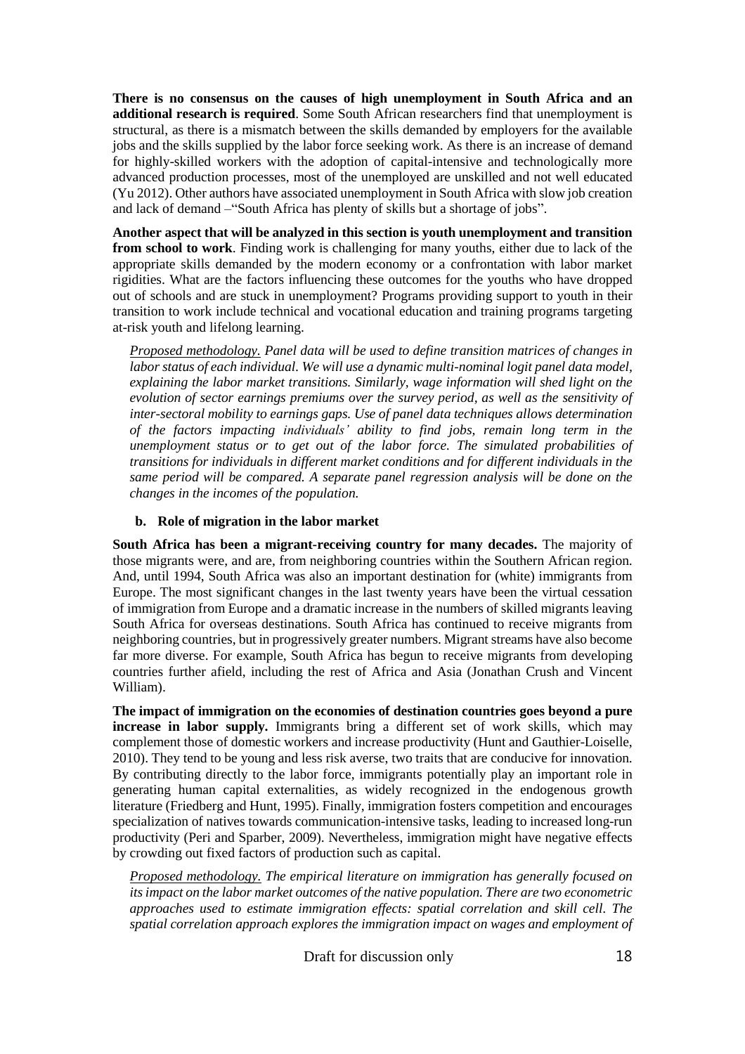**There is no consensus on the causes of high unemployment in South Africa and an additional research is required**. Some South African researchers find that unemployment is structural, as there is a mismatch between the skills demanded by employers for the available jobs and the skills supplied by the labor force seeking work. As there is an increase of demand for highly-skilled workers with the adoption of capital-intensive and technologically more advanced production processes, most of the unemployed are unskilled and not well educated (Yu 2012). Other authors have associated unemployment in South Africa with slow job creation and lack of demand –"South Africa has plenty of skills but a shortage of jobs".

**Another aspect that will be analyzed in this section is youth unemployment and transition from school to work**. Finding work is challenging for many youths, either due to lack of the appropriate skills demanded by the modern economy or a confrontation with labor market rigidities. What are the factors influencing these outcomes for the youths who have dropped out of schools and are stuck in unemployment? Programs providing support to youth in their transition to work include technical and vocational education and training programs targeting at-risk youth and lifelong learning.

*Proposed methodology. Panel data will be used to define transition matrices of changes in labor status of each individual. We will use a dynamic multi-nominal logit panel data model, explaining the labor market transitions. Similarly, wage information will shed light on the evolution of sector earnings premiums over the survey period, as well as the sensitivity of inter-sectoral mobility to earnings gaps. Use of panel data techniques allows determination of the factors impacting individuals' ability to find jobs, remain long term in the unemployment status or to get out of the labor force. The simulated probabilities of transitions for individuals in different market conditions and for different individuals in the same period will be compared. A separate panel regression analysis will be done on the changes in the incomes of the population.*

#### **b. Role of migration in the labor market**

**South Africa has been a migrant-receiving country for many decades.** The majority of those migrants were, and are, from neighboring countries within the Southern African region. And, until 1994, South Africa was also an important destination for (white) immigrants from Europe. The most significant changes in the last twenty years have been the virtual cessation of immigration from Europe and a dramatic increase in the numbers of skilled migrants leaving South Africa for overseas destinations. South Africa has continued to receive migrants from neighboring countries, but in progressively greater numbers. Migrant streams have also become far more diverse. For example, South Africa has begun to receive migrants from developing countries further afield, including the rest of Africa and Asia (Jonathan Crush and Vincent William).

**The impact of immigration on the economies of destination countries goes beyond a pure increase in labor supply.** Immigrants bring a different set of work skills, which may complement those of domestic workers and increase productivity (Hunt and Gauthier-Loiselle, 2010). They tend to be young and less risk averse, two traits that are conducive for innovation. By contributing directly to the labor force, immigrants potentially play an important role in generating human capital externalities, as widely recognized in the endogenous growth literature (Friedberg and Hunt, 1995). Finally, immigration fosters competition and encourages specialization of natives towards communication-intensive tasks, leading to increased long-run productivity (Peri and Sparber, 2009). Nevertheless, immigration might have negative effects by crowding out fixed factors of production such as capital.

*Proposed methodology. The empirical literature on immigration has generally focused on itsimpact on the labor market outcomes of the native population. There are two econometric approaches used to estimate immigration effects: spatial correlation and skill cell. The spatial correlation approach explores the immigration impact on wages and employment of*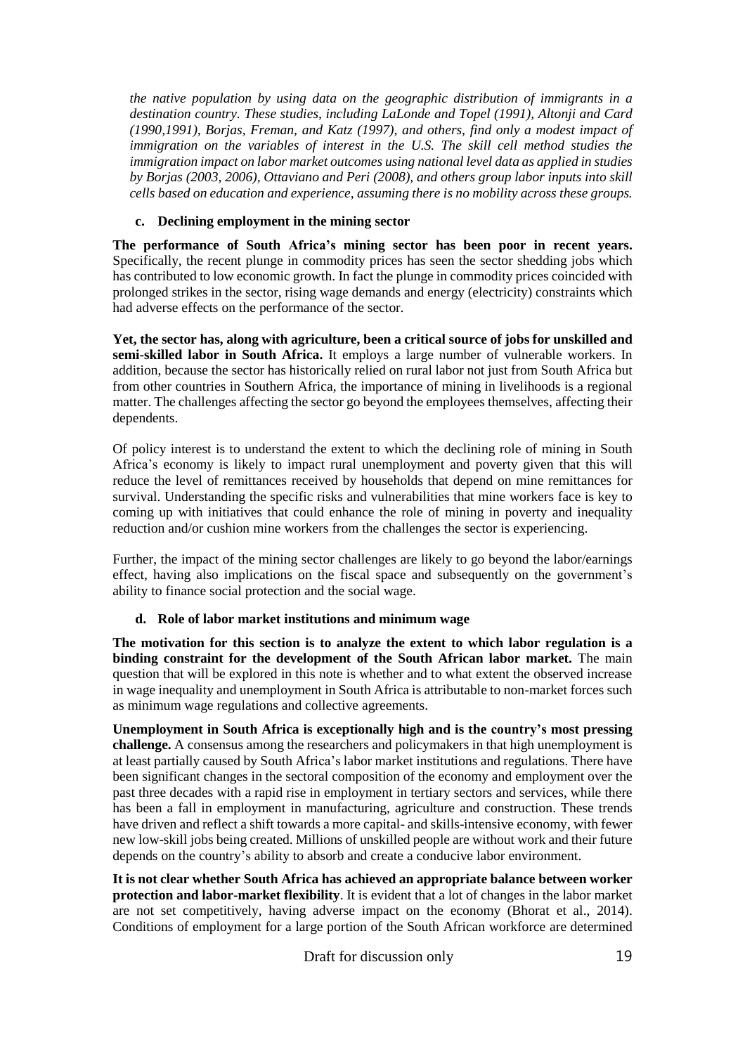*the native population by using data on the geographic distribution of immigrants in a destination country. These studies, including LaLonde and Topel (1991), Altonji and Card (1990,1991), Borjas, Freman, and Katz (1997), and others, find only a modest impact of immigration on the variables of interest in the U.S. The skill cell method studies the immigration impact on labor market outcomes using national level data as applied in studies by Borjas (2003, 2006), Ottaviano and Peri (2008), and others group labor inputs into skill cells based on education and experience, assuming there is no mobility across these groups.*

#### **c. Declining employment in the mining sector**

**The performance of South Africa's mining sector has been poor in recent years.** Specifically, the recent plunge in commodity prices has seen the sector shedding jobs which has contributed to low economic growth. In fact the plunge in commodity prices coincided with prolonged strikes in the sector, rising wage demands and energy (electricity) constraints which had adverse effects on the performance of the sector.

**Yet, the sector has, along with agriculture, been a critical source of jobs for unskilled and semi-skilled labor in South Africa.** It employs a large number of vulnerable workers. In addition, because the sector has historically relied on rural labor not just from South Africa but from other countries in Southern Africa, the importance of mining in livelihoods is a regional matter. The challenges affecting the sector go beyond the employees themselves, affecting their dependents.

Of policy interest is to understand the extent to which the declining role of mining in South Africa's economy is likely to impact rural unemployment and poverty given that this will reduce the level of remittances received by households that depend on mine remittances for survival. Understanding the specific risks and vulnerabilities that mine workers face is key to coming up with initiatives that could enhance the role of mining in poverty and inequality reduction and/or cushion mine workers from the challenges the sector is experiencing.

Further, the impact of the mining sector challenges are likely to go beyond the labor/earnings effect, having also implications on the fiscal space and subsequently on the government's ability to finance social protection and the social wage.

#### **d. Role of labor market institutions and minimum wage**

**The motivation for this section is to analyze the extent to which labor regulation is a binding constraint for the development of the South African labor market.** The main question that will be explored in this note is whether and to what extent the observed increase in wage inequality and unemployment in South Africa is attributable to non-market forces such as minimum wage regulations and collective agreements.

**Unemployment in South Africa is exceptionally high and is the country's most pressing challenge.** A consensus among the researchers and policymakers in that high unemployment is at least partially caused by South Africa's labor market institutions and regulations. There have been significant changes in the sectoral composition of the economy and employment over the past three decades with a rapid rise in employment in tertiary sectors and services, while there has been a fall in employment in manufacturing, agriculture and construction. These trends have driven and reflect a shift towards a more capital- and skills-intensive economy, with fewer new low-skill jobs being created. Millions of unskilled people are without work and their future depends on the country's ability to absorb and create a conducive labor environment.

**It is not clear whether South Africa has achieved an appropriate balance between worker protection and labor-market flexibility**. It is evident that a lot of changes in the labor market are not set competitively, having adverse impact on the economy (Bhorat et al., 2014). Conditions of employment for a large portion of the South African workforce are determined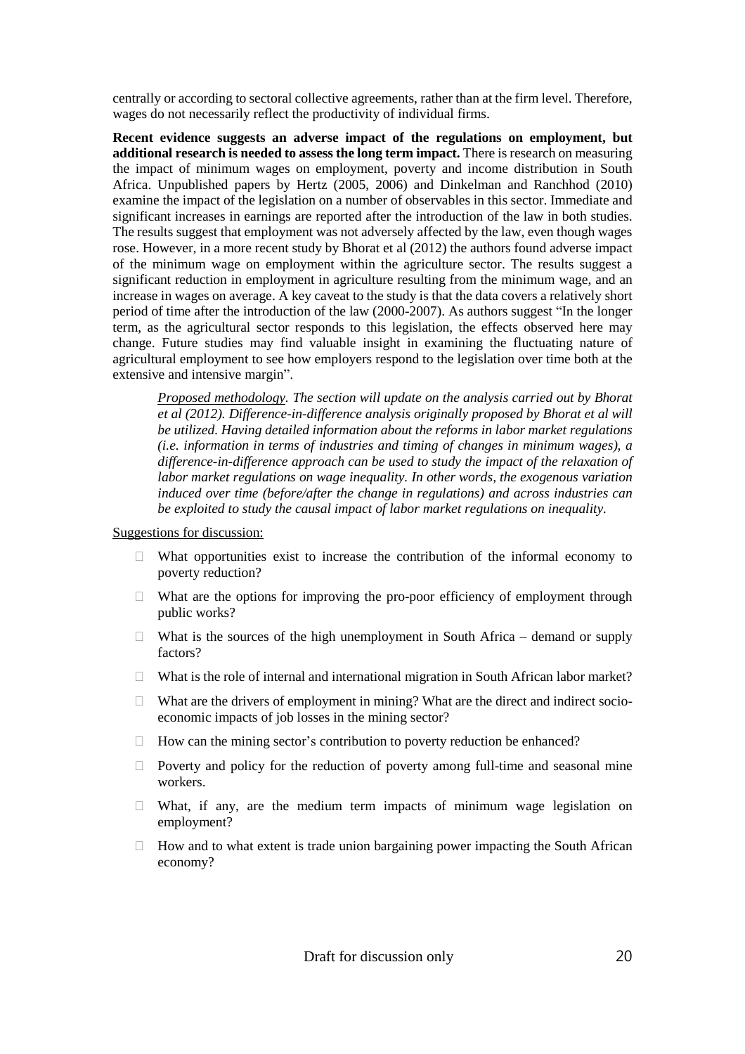centrally or according to sectoral collective agreements, rather than at the firm level. Therefore, wages do not necessarily reflect the productivity of individual firms.

**Recent evidence suggests an adverse impact of the regulations on employment, but additional research is needed to assess the long term impact.** There is research on measuring the impact of minimum wages on employment, poverty and income distribution in South Africa. Unpublished papers by Hertz (2005, 2006) and Dinkelman and Ranchhod (2010) examine the impact of the legislation on a number of observables in this sector. Immediate and significant increases in earnings are reported after the introduction of the law in both studies. The results suggest that employment was not adversely affected by the law, even though wages rose. However, in a more recent study by Bhorat et al (2012) the authors found adverse impact of the minimum wage on employment within the agriculture sector. The results suggest a significant reduction in employment in agriculture resulting from the minimum wage, and an increase in wages on average. A key caveat to the study is that the data covers a relatively short period of time after the introduction of the law (2000-2007). As authors suggest "In the longer term, as the agricultural sector responds to this legislation, the effects observed here may change. Future studies may find valuable insight in examining the fluctuating nature of agricultural employment to see how employers respond to the legislation over time both at the extensive and intensive margin".

*Proposed methodology. The section will update on the analysis carried out by Bhorat et al (2012). Difference-in-difference analysis originally proposed by Bhorat et al will be utilized. Having detailed information about the reforms in labor market regulations (i.e. information in terms of industries and timing of changes in minimum wages), a difference-in-difference approach can be used to study the impact of the relaxation of labor market regulations on wage inequality. In other words, the exogenous variation induced over time (before/after the change in regulations) and across industries can be exploited to study the causal impact of labor market regulations on inequality.*

Suggestions for discussion:

- $\Box$  What opportunities exist to increase the contribution of the informal economy to poverty reduction?
- $\Box$  What are the options for improving the pro-poor efficiency of employment through public works?
- $\Box$  What is the sources of the high unemployment in South Africa demand or supply factors?
- $\Box$  What is the role of internal and international migration in South African labor market?
- $\Box$  What are the drivers of employment in mining? What are the direct and indirect socioeconomic impacts of job losses in the mining sector?
- $\Box$  How can the mining sector's contribution to poverty reduction be enhanced?
- $\Box$  Poverty and policy for the reduction of poverty among full-time and seasonal mine workers.
- What, if any, are the medium term impacts of minimum wage legislation on employment?
- $\Box$  How and to what extent is trade union bargaining power impacting the South African economy?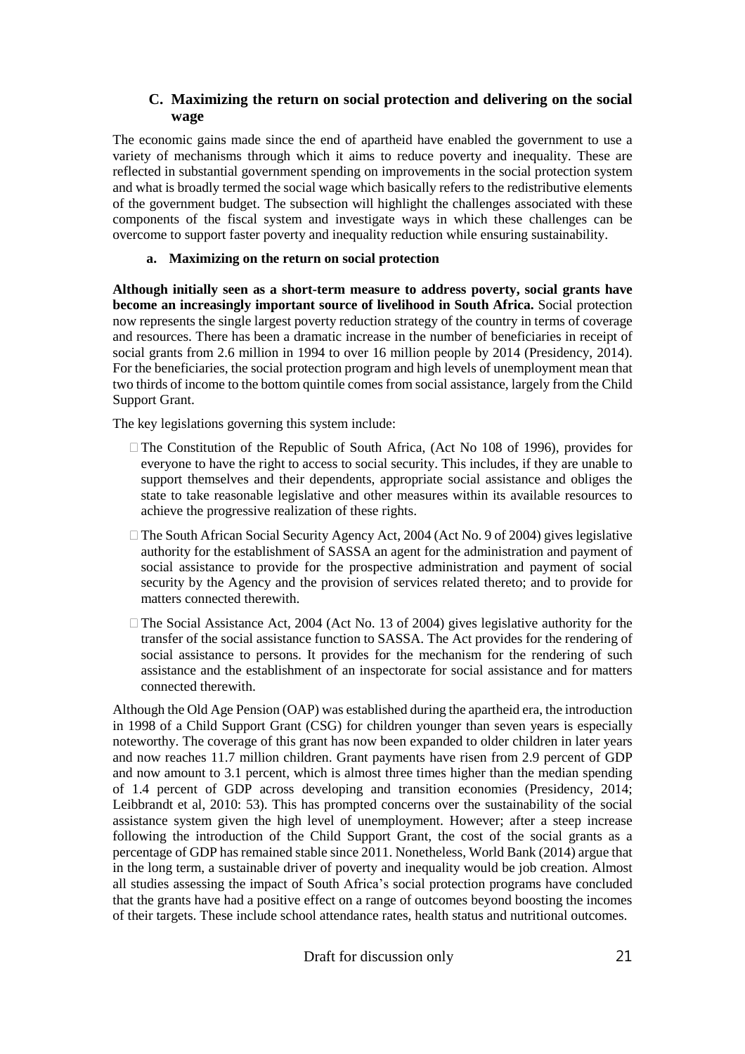#### **C. Maximizing the return on social protection and delivering on the social wage**

The economic gains made since the end of apartheid have enabled the government to use a variety of mechanisms through which it aims to reduce poverty and inequality. These are reflected in substantial government spending on improvements in the social protection system and what is broadly termed the social wage which basically refers to the redistributive elements of the government budget. The subsection will highlight the challenges associated with these components of the fiscal system and investigate ways in which these challenges can be overcome to support faster poverty and inequality reduction while ensuring sustainability.

#### **a. Maximizing on the return on social protection**

**Although initially seen as a short-term measure to address poverty, social grants have become an increasingly important source of livelihood in South Africa.** Social protection now represents the single largest poverty reduction strategy of the country in terms of coverage and resources. There has been a dramatic increase in the number of beneficiaries in receipt of social grants from 2.6 million in 1994 to over 16 million people by 2014 (Presidency, 2014). For the beneficiaries, the social protection program and high levels of unemployment mean that two thirds of income to the bottom quintile comes from social assistance, largely from the Child Support Grant.

The key legislations governing this system include:

- The Constitution of the Republic of South Africa, (Act No 108 of 1996), provides for everyone to have the right to access to social security. This includes, if they are unable to support themselves and their dependents, appropriate social assistance and obliges the state to take reasonable legislative and other measures within its available resources to achieve the progressive realization of these rights.
- □ The South African Social Security Agency Act, 2004 (Act No. 9 of 2004) gives legislative authority for the establishment of SASSA an agent for the administration and payment of social assistance to provide for the prospective administration and payment of social security by the Agency and the provision of services related thereto; and to provide for matters connected therewith.
- $\Box$  The Social Assistance Act, 2004 (Act No. 13 of 2004) gives legislative authority for the transfer of the social assistance function to SASSA. The Act provides for the rendering of social assistance to persons. It provides for the mechanism for the rendering of such assistance and the establishment of an inspectorate for social assistance and for matters connected therewith.

Although the Old Age Pension (OAP) was established during the apartheid era, the introduction in 1998 of a Child Support Grant (CSG) for children younger than seven years is especially noteworthy. The coverage of this grant has now been expanded to older children in later years and now reaches 11.7 million children. Grant payments have risen from 2.9 percent of GDP and now amount to 3.1 percent, which is almost three times higher than the median spending of 1.4 percent of GDP across developing and transition economies (Presidency, 2014; Leibbrandt et al, 2010: 53). This has prompted concerns over the sustainability of the social assistance system given the high level of unemployment. However; after a steep increase following the introduction of the Child Support Grant, the cost of the social grants as a percentage of GDP has remained stable since 2011. Nonetheless, World Bank (2014) argue that in the long term, a sustainable driver of poverty and inequality would be job creation. Almost all studies assessing the impact of South Africa's social protection programs have concluded that the grants have had a positive effect on a range of outcomes beyond boosting the incomes of their targets. These include school attendance rates, health status and nutritional outcomes.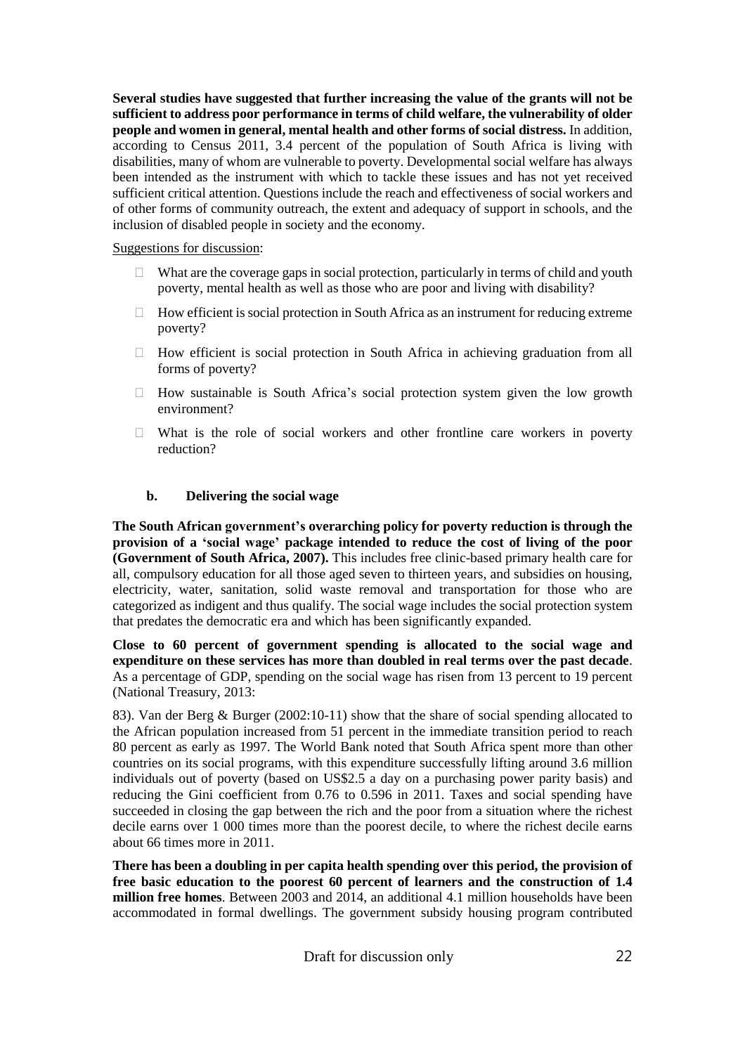**Several studies have suggested that further increasing the value of the grants will not be sufficient to address poor performance in terms of child welfare, the vulnerability of older people and women in general, mental health and other forms of social distress.** In addition, according to Census 2011, 3.4 percent of the population of South Africa is living with disabilities, many of whom are vulnerable to poverty. Developmental social welfare has always been intended as the instrument with which to tackle these issues and has not yet received sufficient critical attention. Questions include the reach and effectiveness of social workers and of other forms of community outreach, the extent and adequacy of support in schools, and the inclusion of disabled people in society and the economy.

#### Suggestions for discussion:

- $\Box$  What are the coverage gaps in social protection, particularly in terms of child and youth poverty, mental health as well as those who are poor and living with disability?
- $\Box$  How efficient is social protection in South Africa as an instrument for reducing extreme poverty?
- $\Box$  How efficient is social protection in South Africa in achieving graduation from all forms of poverty?
- $\Box$  How sustainable is South Africa's social protection system given the low growth environment?
- $\Box$  What is the role of social workers and other frontline care workers in poverty reduction?

#### **b. Delivering the social wage**

**The South African government's overarching policy for poverty reduction is through the provision of a 'social wage' package intended to reduce the cost of living of the poor (Government of South Africa, 2007).** This includes free clinic-based primary health care for all, compulsory education for all those aged seven to thirteen years, and subsidies on housing, electricity, water, sanitation, solid waste removal and transportation for those who are categorized as indigent and thus qualify. The social wage includes the social protection system that predates the democratic era and which has been significantly expanded.

**Close to 60 percent of government spending is allocated to the social wage and expenditure on these services has more than doubled in real terms over the past decade**. As a percentage of GDP, spending on the social wage has risen from 13 percent to 19 percent (National Treasury, 2013:

83). Van der Berg & Burger (2002:10-11) show that the share of social spending allocated to the African population increased from 51 percent in the immediate transition period to reach 80 percent as early as 1997. The World Bank noted that South Africa spent more than other countries on its social programs, with this expenditure successfully lifting around 3.6 million individuals out of poverty (based on US\$2.5 a day on a purchasing power parity basis) and reducing the Gini coefficient from 0.76 to 0.596 in 2011. Taxes and social spending have succeeded in closing the gap between the rich and the poor from a situation where the richest decile earns over 1 000 times more than the poorest decile, to where the richest decile earns about 66 times more in 2011.

**There has been a doubling in per capita health spending over this period, the provision of free basic education to the poorest 60 percent of learners and the construction of 1.4 million free homes**. Between 2003 and 2014, an additional 4.1 million households have been accommodated in formal dwellings. The government subsidy housing program contributed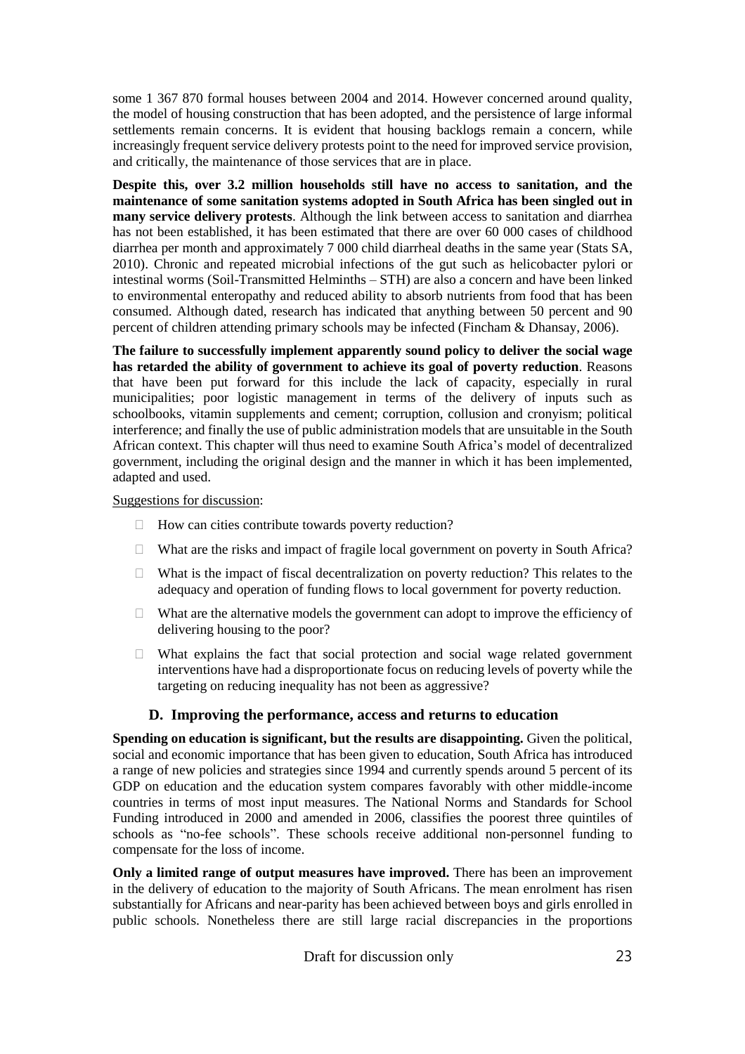some 1 367 870 formal houses between 2004 and 2014. However concerned around quality, the model of housing construction that has been adopted, and the persistence of large informal settlements remain concerns. It is evident that housing backlogs remain a concern, while increasingly frequent service delivery protests point to the need for improved service provision, and critically, the maintenance of those services that are in place.

**Despite this, over 3.2 million households still have no access to sanitation, and the maintenance of some sanitation systems adopted in South Africa has been singled out in many service delivery protests**. Although the link between access to sanitation and diarrhea has not been established, it has been estimated that there are over 60 000 cases of childhood diarrhea per month and approximately 7 000 child diarrheal deaths in the same year (Stats SA, 2010). Chronic and repeated microbial infections of the gut such as helicobacter pylori or intestinal worms (Soil-Transmitted Helminths – STH) are also a concern and have been linked to environmental enteropathy and reduced ability to absorb nutrients from food that has been consumed. Although dated, research has indicated that anything between 50 percent and 90 percent of children attending primary schools may be infected (Fincham & Dhansay, 2006).

**The failure to successfully implement apparently sound policy to deliver the social wage has retarded the ability of government to achieve its goal of poverty reduction**. Reasons that have been put forward for this include the lack of capacity, especially in rural municipalities; poor logistic management in terms of the delivery of inputs such as schoolbooks, vitamin supplements and cement; corruption, collusion and cronyism; political interference; and finally the use of public administration models that are unsuitable in the South African context. This chapter will thus need to examine South Africa's model of decentralized government, including the original design and the manner in which it has been implemented, adapted and used.

#### Suggestions for discussion:

- $\Box$  How can cities contribute towards poverty reduction?
- $\Box$  What are the risks and impact of fragile local government on poverty in South Africa?
- $\Box$  What is the impact of fiscal decentralization on poverty reduction? This relates to the adequacy and operation of funding flows to local government for poverty reduction.
- $\Box$  What are the alternative models the government can adopt to improve the efficiency of delivering housing to the poor?
- $\Box$  What explains the fact that social protection and social wage related government interventions have had a disproportionate focus on reducing levels of poverty while the targeting on reducing inequality has not been as aggressive?

#### **D. Improving the performance, access and returns to education**

**Spending on education is significant, but the results are disappointing.** Given the political, social and economic importance that has been given to education, South Africa has introduced a range of new policies and strategies since 1994 and currently spends around 5 percent of its GDP on education and the education system compares favorably with other middle-income countries in terms of most input measures. The National Norms and Standards for School Funding introduced in 2000 and amended in 2006, classifies the poorest three quintiles of schools as "no-fee schools". These schools receive additional non-personnel funding to compensate for the loss of income.

**Only a limited range of output measures have improved.** There has been an improvement in the delivery of education to the majority of South Africans. The mean enrolment has risen substantially for Africans and near-parity has been achieved between boys and girls enrolled in public schools. Nonetheless there are still large racial discrepancies in the proportions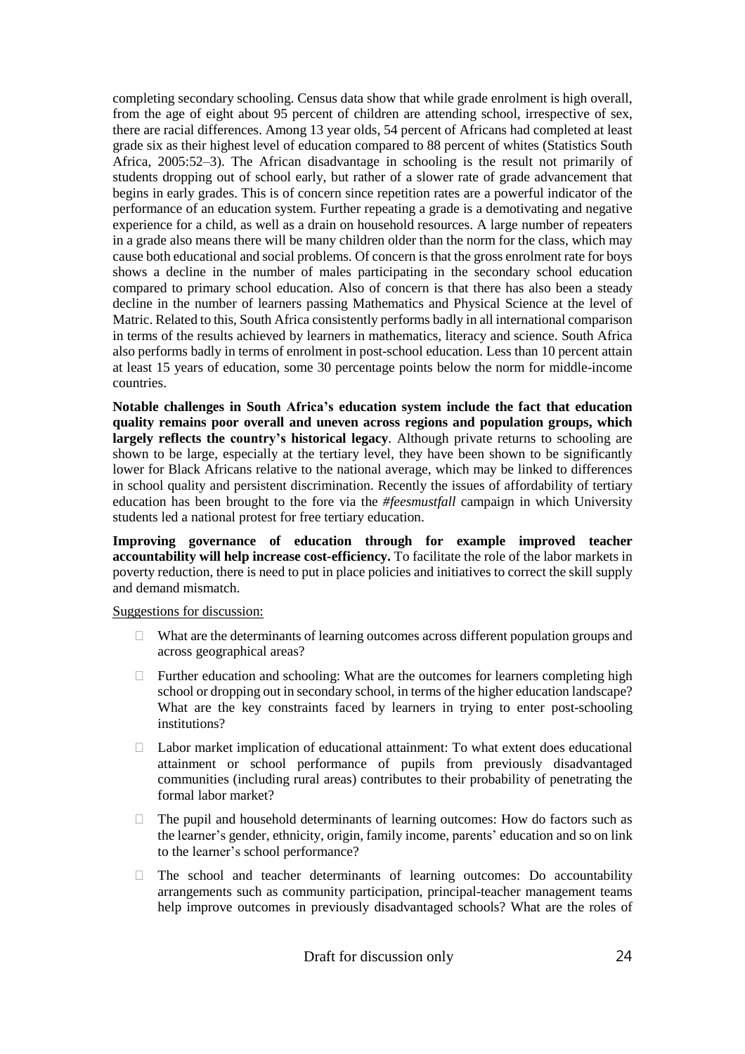completing secondary schooling. Census data show that while grade enrolment is high overall, from the age of eight about 95 percent of children are attending school, irrespective of sex, there are racial differences. Among 13 year olds, 54 percent of Africans had completed at least grade six as their highest level of education compared to 88 percent of whites (Statistics South Africa, 2005:52–3). The African disadvantage in schooling is the result not primarily of students dropping out of school early, but rather of a slower rate of grade advancement that begins in early grades. This is of concern since repetition rates are a powerful indicator of the performance of an education system. Further repeating a grade is a demotivating and negative experience for a child, as well as a drain on household resources. A large number of repeaters in a grade also means there will be many children older than the norm for the class, which may cause both educational and social problems. Of concern is that the gross enrolment rate for boys shows a decline in the number of males participating in the secondary school education compared to primary school education. Also of concern is that there has also been a steady decline in the number of learners passing Mathematics and Physical Science at the level of Matric. Related to this, South Africa consistently performs badly in all international comparison in terms of the results achieved by learners in mathematics, literacy and science. South Africa also performs badly in terms of enrolment in post-school education. Less than 10 percent attain at least 15 years of education, some 30 percentage points below the norm for middle-income countries.

**Notable challenges in South Africa's education system include the fact that education quality remains poor overall and uneven across regions and population groups, which largely reflects the country's historical legacy**. Although private returns to schooling are shown to be large, especially at the tertiary level, they have been shown to be significantly lower for Black Africans relative to the national average, which may be linked to differences in school quality and persistent discrimination. Recently the issues of affordability of tertiary education has been brought to the fore via the *#feesmustfall* campaign in which University students led a national protest for free tertiary education.

**Improving governance of education through for example improved teacher accountability will help increase cost-efficiency.** To facilitate the role of the labor markets in poverty reduction, there is need to put in place policies and initiatives to correct the skill supply and demand mismatch.

#### Suggestions for discussion:

- $\Box$  What are the determinants of learning outcomes across different population groups and across geographical areas?
- $\Box$  Further education and schooling: What are the outcomes for learners completing high school or dropping out in secondary school, in terms of the higher education landscape? What are the key constraints faced by learners in trying to enter post-schooling institutions?
- $\Box$  Labor market implication of educational attainment: To what extent does educational attainment or school performance of pupils from previously disadvantaged communities (including rural areas) contributes to their probability of penetrating the formal labor market?
- $\Box$  The pupil and household determinants of learning outcomes: How do factors such as the learner's gender, ethnicity, origin, family income, parents' education and so on link to the learner's school performance?
- $\Box$  The school and teacher determinants of learning outcomes: Do accountability arrangements such as community participation, principal-teacher management teams help improve outcomes in previously disadvantaged schools? What are the roles of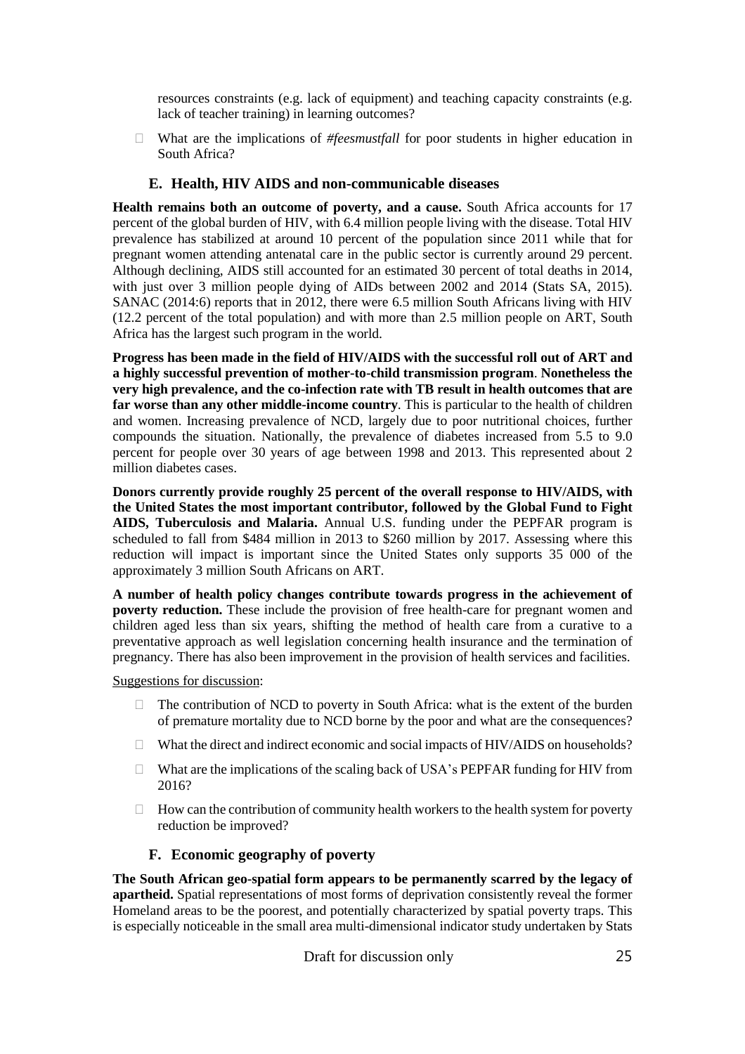resources constraints (e.g. lack of equipment) and teaching capacity constraints (e.g. lack of teacher training) in learning outcomes?

 What are the implications of *#feesmustfall* for poor students in higher education in South Africa?

#### **E. Health, HIV AIDS and non-communicable diseases**

**Health remains both an outcome of poverty, and a cause.** South Africa accounts for 17 percent of the global burden of HIV, with 6.4 million people living with the disease. Total HIV prevalence has stabilized at around 10 percent of the population since 2011 while that for pregnant women attending antenatal care in the public sector is currently around 29 percent. Although declining, AIDS still accounted for an estimated 30 percent of total deaths in 2014, with just over 3 million people dying of AIDs between 2002 and 2014 (Stats SA, 2015). SANAC (2014:6) reports that in 2012, there were 6.5 million South Africans living with HIV (12.2 percent of the total population) and with more than 2.5 million people on ART, South Africa has the largest such program in the world.

**Progress has been made in the field of HIV/AIDS with the successful roll out of ART and a highly successful prevention of mother-to-child transmission program**. **Nonetheless the very high prevalence, and the co-infection rate with TB result in health outcomes that are far worse than any other middle-income country**. This is particular to the health of children and women. Increasing prevalence of NCD, largely due to poor nutritional choices, further compounds the situation. Nationally, the prevalence of diabetes increased from 5.5 to 9.0 percent for people over 30 years of age between 1998 and 2013. This represented about 2 million diabetes cases.

**Donors currently provide roughly 25 percent of the overall response to HIV/AIDS, with the United States the most important contributor, followed by the Global Fund to Fight AIDS, Tuberculosis and Malaria.** Annual U.S. funding under the PEPFAR program is scheduled to fall from \$484 million in 2013 to \$260 million by 2017. Assessing where this reduction will impact is important since the United States only supports 35 000 of the approximately 3 million South Africans on ART.

**A number of health policy changes contribute towards progress in the achievement of poverty reduction.** These include the provision of free health-care for pregnant women and children aged less than six years, shifting the method of health care from a curative to a preventative approach as well legislation concerning health insurance and the termination of pregnancy. There has also been improvement in the provision of health services and facilities.

Suggestions for discussion:

- $\Box$  The contribution of NCD to poverty in South Africa: what is the extent of the burden of premature mortality due to NCD borne by the poor and what are the consequences?
- □ What the direct and indirect economic and social impacts of HIV/AIDS on households?
- $\Box$  What are the implications of the scaling back of USA's PEPFAR funding for HIV from 2016?
- $\Box$  How can the contribution of community health workers to the health system for poverty reduction be improved?

#### **F. Economic geography of poverty**

**The South African geo-spatial form appears to be permanently scarred by the legacy of apartheid.** Spatial representations of most forms of deprivation consistently reveal the former Homeland areas to be the poorest, and potentially characterized by spatial poverty traps. This is especially noticeable in the small area multi-dimensional indicator study undertaken by Stats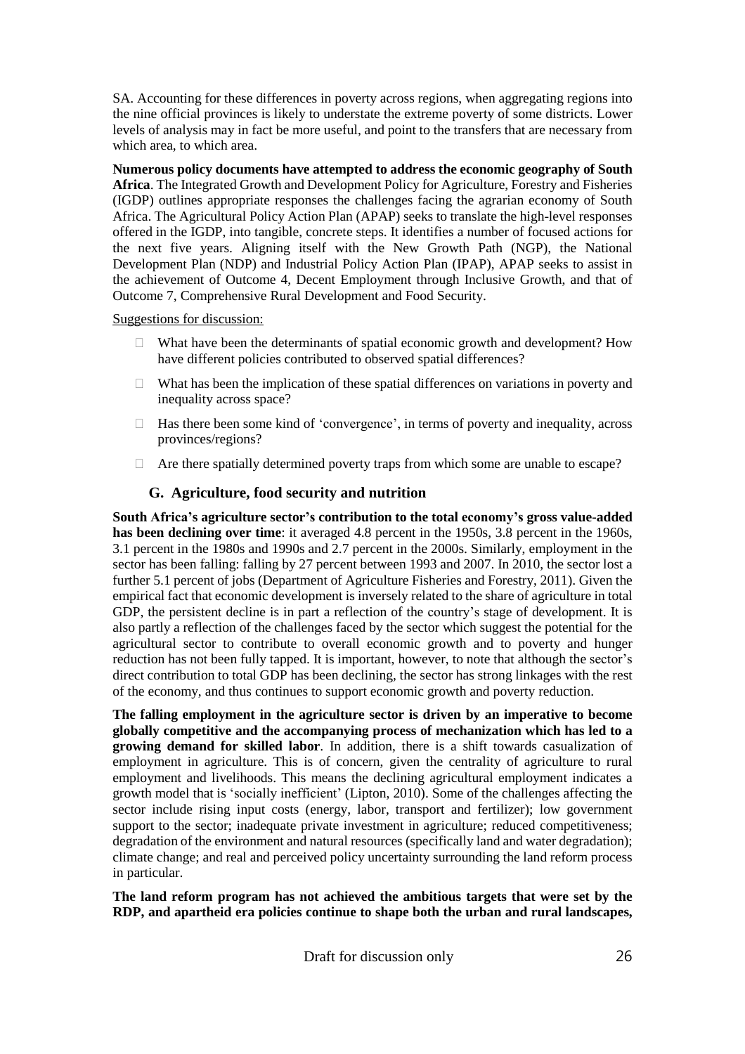SA. Accounting for these differences in poverty across regions, when aggregating regions into the nine official provinces is likely to understate the extreme poverty of some districts. Lower levels of analysis may in fact be more useful, and point to the transfers that are necessary from which area, to which area.

**Numerous policy documents have attempted to address the economic geography of South Africa**. The Integrated Growth and Development Policy for Agriculture, Forestry and Fisheries (IGDP) outlines appropriate responses the challenges facing the agrarian economy of South Africa. The Agricultural Policy Action Plan (APAP) seeks to translate the high-level responses offered in the IGDP, into tangible, concrete steps. It identifies a number of focused actions for the next five years. Aligning itself with the New Growth Path (NGP), the National Development Plan (NDP) and Industrial Policy Action Plan (IPAP), APAP seeks to assist in the achievement of Outcome 4, Decent Employment through Inclusive Growth, and that of Outcome 7, Comprehensive Rural Development and Food Security.

Suggestions for discussion:

- $\Box$  What have been the determinants of spatial economic growth and development? How have different policies contributed to observed spatial differences?
- $\Box$  What has been the implication of these spatial differences on variations in poverty and inequality across space?
- $\Box$  Has there been some kind of 'convergence', in terms of poverty and inequality, across provinces/regions?
- $\Box$  Are there spatially determined poverty traps from which some are unable to escape?

#### **G. Agriculture, food security and nutrition**

**South Africa's agriculture sector's contribution to the total economy's gross value-added has been declining over time**: it averaged 4.8 percent in the 1950s, 3.8 percent in the 1960s, 3.1 percent in the 1980s and 1990s and 2.7 percent in the 2000s. Similarly, employment in the sector has been falling: falling by 27 percent between 1993 and 2007. In 2010, the sector lost a further 5.1 percent of jobs (Department of Agriculture Fisheries and Forestry, 2011). Given the empirical fact that economic development is inversely related to the share of agriculture in total GDP, the persistent decline is in part a reflection of the country's stage of development. It is also partly a reflection of the challenges faced by the sector which suggest the potential for the agricultural sector to contribute to overall economic growth and to poverty and hunger reduction has not been fully tapped. It is important, however, to note that although the sector's direct contribution to total GDP has been declining, the sector has strong linkages with the rest of the economy, and thus continues to support economic growth and poverty reduction.

**The falling employment in the agriculture sector is driven by an imperative to become globally competitive and the accompanying process of mechanization which has led to a growing demand for skilled labor**. In addition, there is a shift towards casualization of employment in agriculture. This is of concern, given the centrality of agriculture to rural employment and livelihoods. This means the declining agricultural employment indicates a growth model that is 'socially inefficient' (Lipton, 2010). Some of the challenges affecting the sector include rising input costs (energy, labor, transport and fertilizer); low government support to the sector; inadequate private investment in agriculture; reduced competitiveness; degradation of the environment and natural resources (specifically land and water degradation); climate change; and real and perceived policy uncertainty surrounding the land reform process in particular.

**The land reform program has not achieved the ambitious targets that were set by the RDP, and apartheid era policies continue to shape both the urban and rural landscapes,**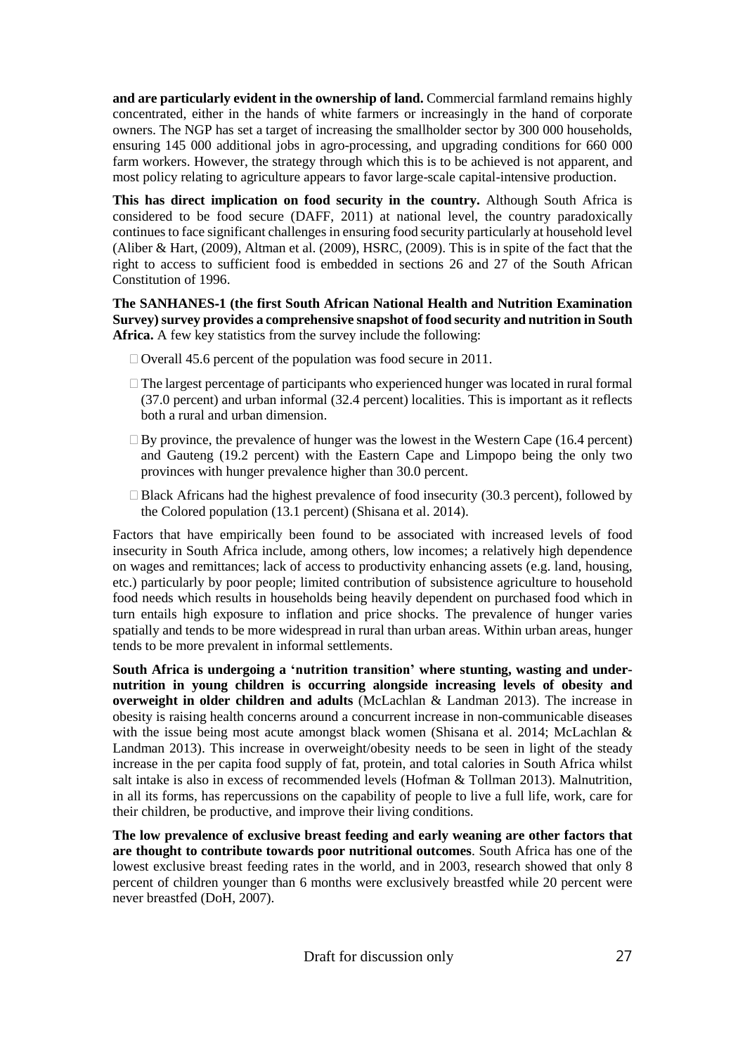**and are particularly evident in the ownership of land.** Commercial farmland remains highly concentrated, either in the hands of white farmers or increasingly in the hand of corporate owners. The NGP has set a target of increasing the smallholder sector by 300 000 households, ensuring 145 000 additional jobs in agro-processing, and upgrading conditions for 660 000 farm workers. However, the strategy through which this is to be achieved is not apparent, and most policy relating to agriculture appears to favor large-scale capital-intensive production.

**This has direct implication on food security in the country.** Although South Africa is considered to be food secure (DAFF, 2011) at national level, the country paradoxically continues to face significant challenges in ensuring food security particularly at household level (Aliber & Hart, (2009), Altman et al. (2009), HSRC, (2009). This is in spite of the fact that the right to access to sufficient food is embedded in sections 26 and 27 of the South African Constitution of 1996.

**The SANHANES**‐**1 (the first South African National Health and Nutrition Examination Survey)survey provides a comprehensive snapshot of food security and nutrition in South Africa.** A few key statistics from the survey include the following:

- $\Box$  Overall 45.6 percent of the population was food secure in 2011.
- $\Box$  The largest percentage of participants who experienced hunger was located in rural formal (37.0 percent) and urban informal (32.4 percent) localities. This is important as it reflects both a rural and urban dimension.
- $\Box$  By province, the prevalence of hunger was the lowest in the Western Cape (16.4 percent) and Gauteng (19.2 percent) with the Eastern Cape and Limpopo being the only two provinces with hunger prevalence higher than 30.0 percent.
- $\Box$  Black Africans had the highest prevalence of food insecurity (30.3 percent), followed by the Colored population (13.1 percent) (Shisana et al. 2014).

Factors that have empirically been found to be associated with increased levels of food insecurity in South Africa include, among others, low incomes; a relatively high dependence on wages and remittances; lack of access to productivity enhancing assets (e.g. land, housing, etc.) particularly by poor people; limited contribution of subsistence agriculture to household food needs which results in households being heavily dependent on purchased food which in turn entails high exposure to inflation and price shocks. The prevalence of hunger varies spatially and tends to be more widespread in rural than urban areas. Within urban areas, hunger tends to be more prevalent in informal settlements.

**South Africa is undergoing a 'nutrition transition' where stunting, wasting and undernutrition in young children is occurring alongside increasing levels of obesity and overweight in older children and adults** (McLachlan & Landman 2013). The increase in obesity is raising health concerns around a concurrent increase in non-communicable diseases with the issue being most acute amongst black women (Shisana et al. 2014; McLachlan & Landman 2013). This increase in overweight/obesity needs to be seen in light of the steady increase in the per capita food supply of fat, protein, and total calories in South Africa whilst salt intake is also in excess of recommended levels (Hofman & Tollman 2013). Malnutrition, in all its forms, has repercussions on the capability of people to live a full life, work, care for their children, be productive, and improve their living conditions.

**The low prevalence of exclusive breast feeding and early weaning are other factors that are thought to contribute towards poor nutritional outcomes**. South Africa has one of the lowest exclusive breast feeding rates in the world, and in 2003, research showed that only 8 percent of children younger than 6 months were exclusively breastfed while 20 percent were never breastfed (DoH, 2007).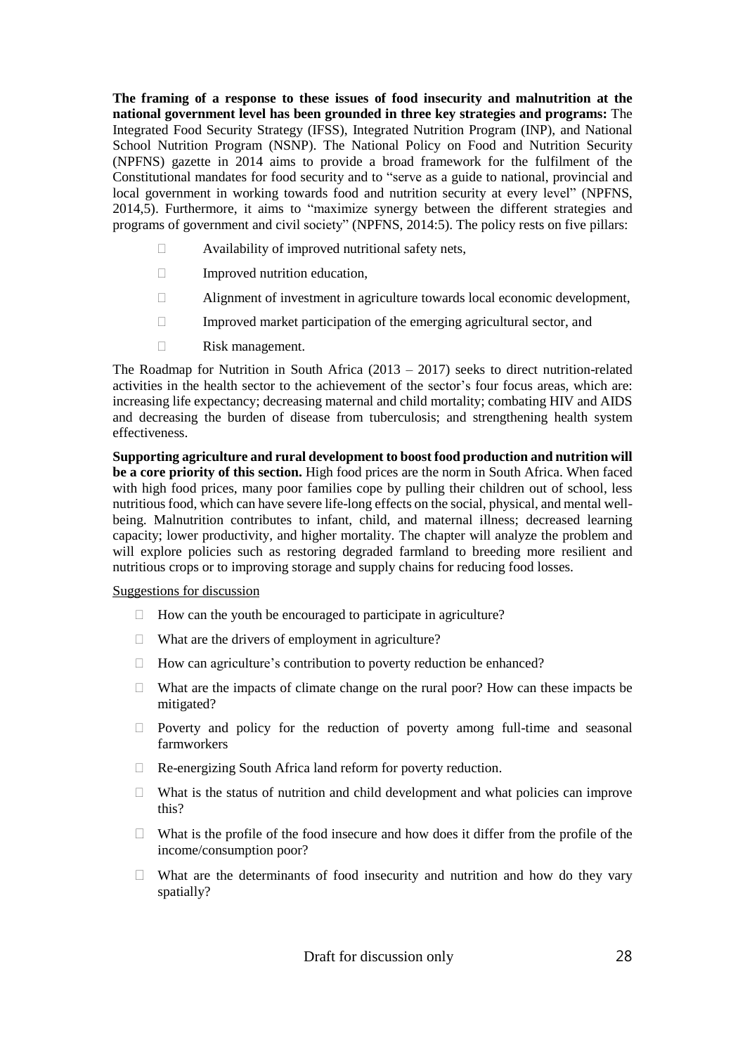**The framing of a response to these issues of food insecurity and malnutrition at the national government level has been grounded in three key strategies and programs:** The Integrated Food Security Strategy (IFSS), Integrated Nutrition Program (INP), and National School Nutrition Program (NSNP). The National Policy on Food and Nutrition Security (NPFNS) gazette in 2014 aims to provide a broad framework for the fulfilment of the Constitutional mandates for food security and to "serve as a guide to national, provincial and local government in working towards food and nutrition security at every level" (NPFNS, 2014,5). Furthermore, it aims to "maximize synergy between the different strategies and programs of government and civil society" (NPFNS, 2014:5). The policy rests on five pillars:

- $\Box$  Availability of improved nutritional safety nets,
- $\Box$  Improved nutrition education,
- $\Box$  Alignment of investment in agriculture towards local economic development,
- $\Box$  Improved market participation of the emerging agricultural sector, and
- Risk management.

The Roadmap for Nutrition in South Africa  $(2013 - 2017)$  seeks to direct nutrition-related activities in the health sector to the achievement of the sector's four focus areas, which are: increasing life expectancy; decreasing maternal and child mortality; combating HIV and AIDS and decreasing the burden of disease from tuberculosis; and strengthening health system effectiveness.

**Supporting agriculture and rural development to boost food production and nutrition will be a core priority of this section.** High food prices are the norm in South Africa. When faced with high food prices, many poor families cope by pulling their children out of school, less nutritious food, which can have severe life-long effects on the social, physical, and mental wellbeing. Malnutrition contributes to infant, child, and maternal illness; decreased learning capacity; lower productivity, and higher mortality. The chapter will analyze the problem and will explore policies such as restoring degraded farmland to breeding more resilient and nutritious crops or to improving storage and supply chains for reducing food losses.

#### Suggestions for discussion

- $\Box$  How can the youth be encouraged to participate in agriculture?
- $\Box$  What are the drivers of employment in agriculture?
- $\Box$  How can agriculture's contribution to poverty reduction be enhanced?
- $\Box$  What are the impacts of climate change on the rural poor? How can these impacts be mitigated?
- $\Box$  Poverty and policy for the reduction of poverty among full-time and seasonal farmworkers
- □ Re-energizing South Africa land reform for poverty reduction.
- $\Box$  What is the status of nutrition and child development and what policies can improve this?
- $\Box$  What is the profile of the food insecure and how does it differ from the profile of the income/consumption poor?
- $\Box$  What are the determinants of food insecurity and nutrition and how do they vary spatially?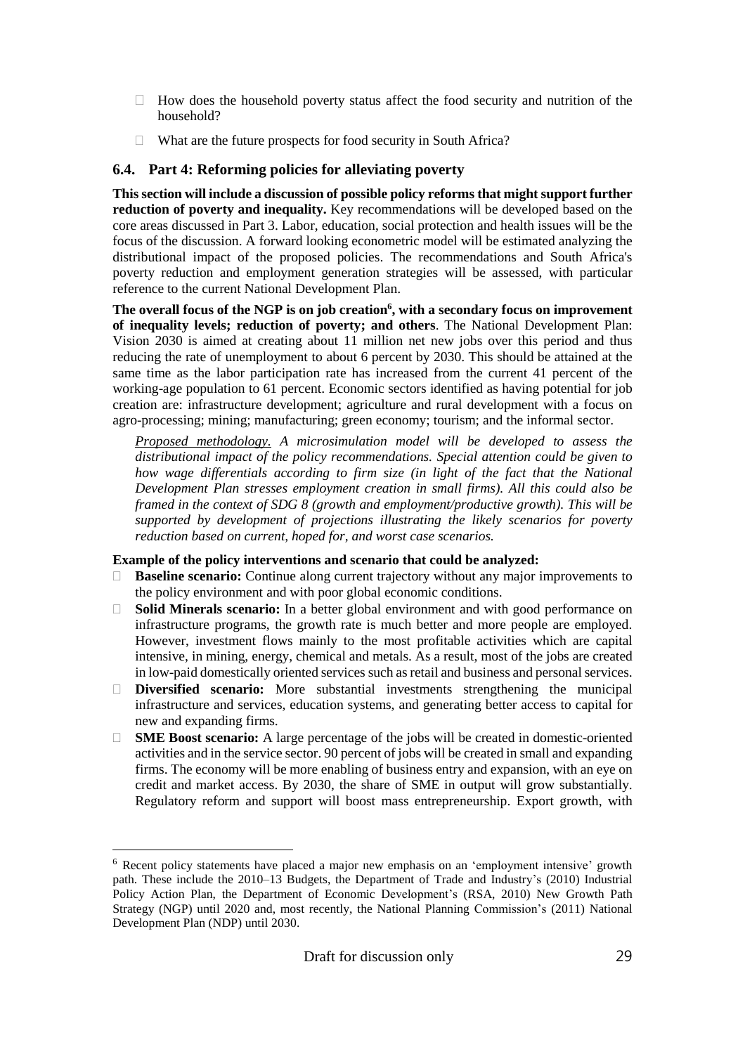- $\Box$  How does the household poverty status affect the food security and nutrition of the household?
- $\Box$  What are the future prospects for food security in South Africa?

#### **6.4. Part 4: Reforming policies for alleviating poverty**

**This section will include a discussion of possible policy reforms that might support further reduction of poverty and inequality.** Key recommendations will be developed based on the core areas discussed in Part 3. Labor, education, social protection and health issues will be the focus of the discussion. A forward looking econometric model will be estimated analyzing the distributional impact of the proposed policies. The recommendations and South Africa's poverty reduction and employment generation strategies will be assessed, with particular reference to the current National Development Plan.

**The overall focus of the NGP is on job creation<sup>6</sup> , with a secondary focus on improvement of inequality levels; reduction of poverty; and others**. The National Development Plan: Vision 2030 is aimed at creating about 11 million net new jobs over this period and thus reducing the rate of unemployment to about 6 percent by 2030. This should be attained at the same time as the labor participation rate has increased from the current 41 percent of the working-age population to 61 percent. Economic sectors identified as having potential for job creation are: infrastructure development; agriculture and rural development with a focus on agro-processing; mining; manufacturing; green economy; tourism; and the informal sector.

*Proposed methodology. A microsimulation model will be developed to assess the distributional impact of the policy recommendations. Special attention could be given to how wage differentials according to firm size (in light of the fact that the National Development Plan stresses employment creation in small firms). All this could also be framed in the context of SDG 8 (growth and employment/productive growth). This will be supported by development of projections illustrating the likely scenarios for poverty reduction based on current, hoped for, and worst case scenarios.*

#### **Example of the policy interventions and scenario that could be analyzed:**

- **Baseline scenario:** Continue along current trajectory without any major improvements to the policy environment and with poor global economic conditions.
- **Solid Minerals scenario:** In a better global environment and with good performance on infrastructure programs, the growth rate is much better and more people are employed. However, investment flows mainly to the most profitable activities which are capital intensive, in mining, energy, chemical and metals. As a result, most of the jobs are created in low-paid domestically oriented services such as retail and business and personal services.
- **Diversified scenario:** More substantial investments strengthening the municipal infrastructure and services, education systems, and generating better access to capital for new and expanding firms.
- **SME Boost scenario:** A large percentage of the jobs will be created in domestic-oriented activities and in the service sector. 90 percent of jobs will be created in small and expanding firms. The economy will be more enabling of business entry and expansion, with an eye on credit and market access. By 2030, the share of SME in output will grow substantially. Regulatory reform and support will boost mass entrepreneurship. Export growth, with

 $\overline{a}$ 

<sup>&</sup>lt;sup>6</sup> Recent policy statements have placed a major new emphasis on an 'employment intensive' growth path. These include the 2010–13 Budgets, the Department of Trade and Industry's (2010) Industrial Policy Action Plan, the Department of Economic Development's (RSA, 2010) New Growth Path Strategy (NGP) until 2020 and, most recently, the National Planning Commission's (2011) National Development Plan (NDP) until 2030.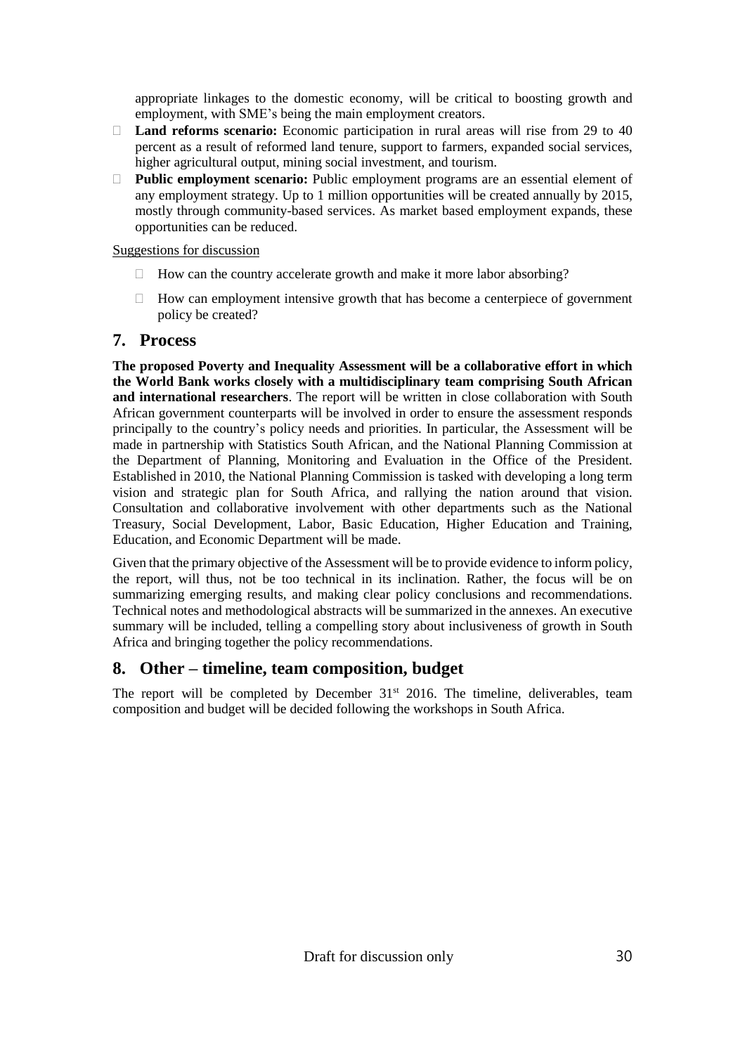appropriate linkages to the domestic economy, will be critical to boosting growth and employment, with SME's being the main employment creators.

- **Land reforms scenario:** Economic participation in rural areas will rise from 29 to 40 percent as a result of reformed land tenure, support to farmers, expanded social services, higher agricultural output, mining social investment, and tourism.
- **Public employment scenario:** Public employment programs are an essential element of any employment strategy. Up to 1 million opportunities will be created annually by 2015, mostly through community-based services. As market based employment expands, these opportunities can be reduced.

#### Suggestions for discussion

- $\Box$  How can the country accelerate growth and make it more labor absorbing?
- $\Box$  How can employment intensive growth that has become a centerpiece of government policy be created?

#### **7. Process**

**The proposed Poverty and Inequality Assessment will be a collaborative effort in which the World Bank works closely with a multidisciplinary team comprising South African and international researchers**. The report will be written in close collaboration with South African government counterparts will be involved in order to ensure the assessment responds principally to the country's policy needs and priorities. In particular, the Assessment will be made in partnership with Statistics South African, and the National Planning Commission at the Department of Planning, Monitoring and Evaluation in the Office of the President. Established in 2010, the National Planning Commission is tasked with developing a long term vision and strategic plan for South Africa, and rallying the nation around that vision. Consultation and collaborative involvement with other departments such as the National Treasury, Social Development, Labor, Basic Education, Higher Education and Training, Education, and Economic Department will be made.

Given that the primary objective of the Assessment will be to provide evidence to inform policy, the report, will thus, not be too technical in its inclination. Rather, the focus will be on summarizing emerging results, and making clear policy conclusions and recommendations. Technical notes and methodological abstracts will be summarized in the annexes. An executive summary will be included, telling a compelling story about inclusiveness of growth in South Africa and bringing together the policy recommendations.

#### **8. Other – timeline, team composition, budget**

The report will be completed by December  $31<sup>st</sup>$  2016. The timeline, deliverables, team composition and budget will be decided following the workshops in South Africa.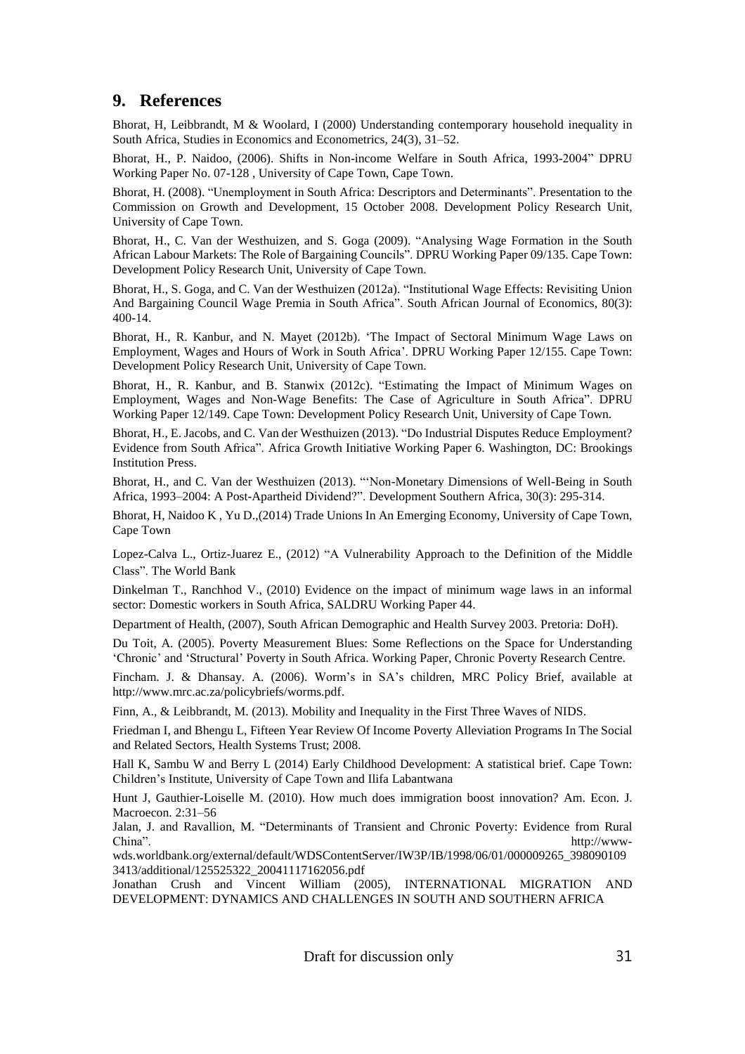### **9. References**

Bhorat, H, Leibbrandt, M & Woolard, I (2000) Understanding contemporary household inequality in South Africa, Studies in Economics and Econometrics, 24(3), 31–52.

Bhorat, H., P. Naidoo, (2006). Shifts in Non-income Welfare in South Africa, 1993-2004" DPRU Working Paper No. 07-128 , University of Cape Town, Cape Town.

Bhorat, H. (2008). "Unemployment in South Africa: Descriptors and Determinants". Presentation to the Commission on Growth and Development, 15 October 2008. Development Policy Research Unit, University of Cape Town.

Bhorat, H., C. Van der Westhuizen, and S. Goga (2009). "Analysing Wage Formation in the South African Labour Markets: The Role of Bargaining Councils". DPRU Working Paper 09/135. Cape Town: Development Policy Research Unit, University of Cape Town.

Bhorat, H., S. Goga, and C. Van der Westhuizen (2012a). "Institutional Wage Effects: Revisiting Union And Bargaining Council Wage Premia in South Africa". South African Journal of Economics, 80(3): 400-14.

Bhorat, H., R. Kanbur, and N. Mayet (2012b). 'The Impact of Sectoral Minimum Wage Laws on Employment, Wages and Hours of Work in South Africa'. DPRU Working Paper 12/155. Cape Town: Development Policy Research Unit, University of Cape Town.

Bhorat, H., R. Kanbur, and B. Stanwix (2012c). "Estimating the Impact of Minimum Wages on Employment, Wages and Non-Wage Benefits: The Case of Agriculture in South Africa". DPRU Working Paper 12/149. Cape Town: Development Policy Research Unit, University of Cape Town.

Bhorat, H., E. Jacobs, and C. Van der Westhuizen (2013). "Do Industrial Disputes Reduce Employment? Evidence from South Africa". Africa Growth Initiative Working Paper 6. Washington, DC: Brookings Institution Press.

Bhorat, H., and C. Van der Westhuizen (2013). "'Non-Monetary Dimensions of Well-Being in South Africa, 1993–2004: A Post-Apartheid Dividend?". Development Southern Africa, 30(3): 295-314.

Bhorat, H, Naidoo K , Yu D.,(2014) Trade Unions In An Emerging Economy, University of Cape Town, Cape Town

Lopez-Calva L., Ortiz-Juarez E., (2012) "A Vulnerability Approach to the Definition of the Middle Class". The World Bank

Dinkelman T., Ranchhod V., (2010) Evidence on the impact of minimum wage laws in an informal sector: Domestic workers in South Africa, SALDRU Working Paper 44.

Department of Health, (2007), South African Demographic and Health Survey 2003. Pretoria: DoH).

Du Toit, A. (2005). Poverty Measurement Blues: Some Reflections on the Space for Understanding 'Chronic' and 'Structural' Poverty in South Africa. Working Paper, Chronic Poverty Research Centre.

Fincham. J. & Dhansay. A. (2006). Worm's in SA's children, MRC Policy Brief, available at [http://www.mrc.ac.za/policybriefs/worms.pdf.](http://www.mrc.ac.za/policybriefs/worms.pdf)

Finn, A., & Leibbrandt, M. (2013). Mobility and Inequality in the First Three Waves of NIDS.

Friedman I, and Bhengu L, Fifteen Year Review Of Income Poverty Alleviation Programs In The Social and Related Sectors, Health Systems Trust; 2008.

Hall K, Sambu W and Berry L (2014) Early Childhood Development: A statistical brief. Cape Town: Children's Institute, University of Cape Town and Ilifa Labantwana

Hunt J, Gauthier-Loiselle M. (2010). How much does immigration boost innovation? Am. Econ. J. Macroecon. 2:31–56

Jalan, J. and Ravallion, M. "Determinants of Transient and Chronic Poverty: Evidence from Rural China". http://www-

wds.worldbank.org/external/default/WDSContentServer/IW3P/IB/1998/06/01/000009265\_398090109 3413/additional/125525322\_20041117162056.pdf

Jonathan Crush and Vincent William (2005), INTERNATIONAL MIGRATION AND DEVELOPMENT: DYNAMICS AND CHALLENGES IN SOUTH AND SOUTHERN AFRICA